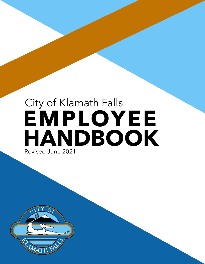# **EMPLOYEE HANDBOOK** City of Klamath Falls Revised June 2021

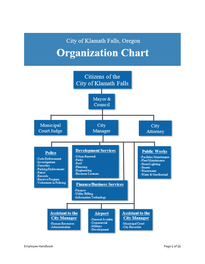## City of Klamath Falls, Oregon **Organization Chart**

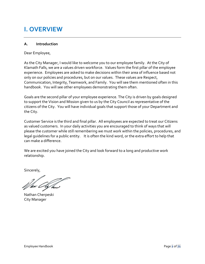## **I. OVERVIEW**

#### **A. Introduction**

Dear Employee,

As the City Manager, I would like to welcome you to our employee family. At the City of Klamath Falls, we are a values driven workforce. Values form the first pillar of the employee experience. Employees are asked to make decisions within their area of influence based not only on our policies and procedures, but on our values. These values are Respect, Communication, Integrity, Teamwork, and Family. You will see them mentioned often in this handbook. You will see other employees demonstrating them often.

Goals are the second pillar of your employee experience. The City is driven by goals designed to support the Vision and Mission given to us by the City Council as representative of the citizens of the City. You will have individual goals that support those of your Department and the City.

Customer Service is the third and final pillar. All employees are expected to treat our Citizens as valued customers. In your daily activities you are encouraged to think of ways that will please the customer while still remembering we must work within the policies, procedures, and legal guidelines for a public entity. It is often the kind word, or the extra effort to help that can make a difference.

We are excited you have joined the City and look forward to a long and productive work relationship.

Sincerely,

Nathan Cherpeski City Manager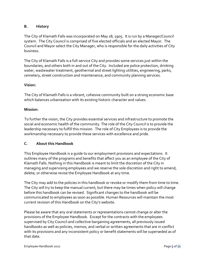#### **B. History**

The City of Klamath Falls was incorporated on May 18, 1905. It is run by a Manager/Council system. The City Council is comprised of five elected officials and an elected Mayor. The Council and Mayor select the City Manager, who is responsible for the daily activities of City business.

The City of Klamath Falls is a full-service City and provides some services just within the boundaries, and others both in and out of the City. Included are police protection, drinking water, wastewater treatment, geothermal and street lighting utilities, engineering, parks, cemetery, street construction and maintenance, and community planning services.

#### **Vision:**

The City of Klamath Falls is a vibrant, cohesive community built on a strong economic base which balances urbanization with its existing historic character and values.

#### **Mission:**

To further the vision, the City provides essential services and infrastructure to promote the social and economic health of the community. The role of the City Council is to provide the leadership necessary to fulfill this mission. The role of City Employees is to provide the workmanship necessary to provide these services with excellence and pride.

#### **C. About this Handbook**

This Employee Handbook is a guide to our employment provisions and expectations. It outlines many of the programs and benefits that affect you as an employee of the City of Klamath Falls. Nothing in this Handbook is meant to limit the discretion of the City in managing and supervising employees and we reserve the sole discretion and right to amend, delete, or otherwise revise the Employee Handbook at any time.

The City may add to the policies in this handbook or revoke or modify them from time to time. The City will try to keep the manual current, but there may be times when policy will change before this handbook can be revised. Significant changes to the handbook will be communicated to employees as soon as possible. Human Resources will maintain the most current revision of this Handbook on the City's website.

Please be aware that any oral statements or representations cannot change or alter the provisions of the Employee Handbook. Except for the contracts with the employees supervised by City Council and collective bargaining agreements, all previously issued handbooks as well as policies, memos, and verbal or written agreements that are in conflict with its provisions and any inconsistent policy or benefit statements will be superseded as of that date.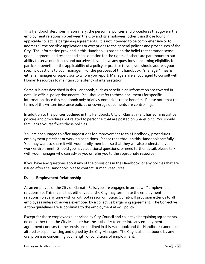This Handbook describes, in summary, the personnel policies and procedures that govern the employment relationship between the City and its employees, other than those found in applicable collective bargaining agreements. It is not intended to be comprehensive or to address all the possible applications or exceptions to the general policies and procedures of the City. The information provided in this Handbook is based on the belief that common sense, good judgment, and respect and consideration for the rights of others are paramount to our ability to serve our citizens and ourselves. If you have any questions concerning eligibility for a particular benefit, or the applicability of a policy or practice to you, you should address your specific questions to your manager. For the purposes of this handbook, "manager" means either a manager or supervisor to whom you report. Managers are encouraged to consult with Human Resources to maintain consistency of interpretation.

Some subjects described in this Handbook, such as benefit plan information are covered in detail in official policy documents. You should refer to these documents for specific information since this Handbook only briefly summarizes those benefits. Please note that the terms of the written insurance policies or coverage documents are controlling.

In addition to the policies outlined in this Handbook, City of Klamath Falls has administrative policies and procedures not related to personnel that are posted on SharePoint. You should familiarize yourself with those policies.

You are encouraged to offer suggestions for improvement to this Handbook, procedures, employment practices or working conditions. Please read through this Handbook carefully. You may want to share it with your family members so that they will also understand your work environment. Should you have additional questions, or need further detail, please talk with your manager who can advise you or refer you to the appropriate resource.

If you have any questions about any of the provisions in the Handbook, or any policies that are issued after the Handbook, please contact Human Resources.

#### **D. Employment Relationship**

As an employee of the City of Klamath Falls, you are engaged in an "at will" employment relationship. This means that either you or the City may terminate the employment relationship at any time with or without reason or notice. Our at-will provision extends to all employees unless otherwise exempted by a collective bargaining agreement. The Corrective Action guidelines are subordinate to the employment at-will policy.

Except for those employees supervised by City Council and collective bargaining agreements, no one other than the City Manager has the authority to enter into any employment agreement contrary to the provisions outlined in this Handbook and the Handbook cannot be altered except in writing and signed by the City Manager. The City is also not bound by any oral promises concerning your length or conditions of employment.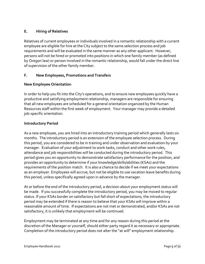#### **E. Hiring of Relatives**

Relatives of current employees or individuals involved in a romantic relationship with a current employee are eligible for hire at the City subject to the same selection process and job requirements and will be evaluated in the same manner as any other applicant. However, persons will not be hired or promoted into positions in which one family member (as defined by Oregon law) or person involved in the romantic relationship, would fall under the direct line of supervision of the other family member.

#### **F. New Employees, Promotions and Transfers**

#### **New Employee Orientation**

In order to help you fit into the City's operations, and to ensure new employees quickly have a productive and satisfying employment relationship, managers are responsible for ensuring that all new employees are scheduled for a general orientation organized by the Human Resources staff within the first week of employment. Your manager may provide a detailed job-specific orientation.

#### **Introductory Period**

As a new employee, you are hired into an introductory training period which generally lasts six months. The introductory period is an extension of the employee selection process. During this period, you are considered to be in training and under observation and evaluation by your manager. Evaluation of your adjustment to work tasks, conduct and other work rules, attendance and job responsibilities will be conducted during the introductory period. This period gives you an opportunity to demonstrate satisfactory performance for the position, and provides an opportunity to determine if your knowledge/skills/abilities (KSAs) and the requirements of the position match. It is also a chance to decide if we meet your expectations as an employer. Employees will accrue, but not be eligible to use vacation leave benefits during this period, unless specifically agreed upon in advance by the manager.

At or before the end of the introductory period, a decision about your employment status will be made. If you successfully complete the introductory period, you may be moved to regular status. If your KSAs border on satisfactory but fall short of expectations, the introductory period may be extended if there is reason to believe that your KSAs will improve within a reasonable amount of time. If expectations are not met or demonstrated, and/or KSAs are not satisfactory, it is unlikely that employment will be continued.

Employment may be terminated at any time and for any reason during this period at the discretion of the Manager or yourself, should either party regard it as necessary or appropriate. Completion of the introductory period does not alter the "at will" employment relationship.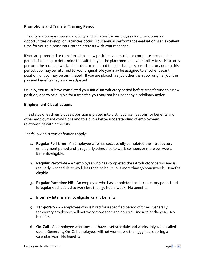#### **Promotions and Transfer Training Period**

The City encourages upward mobility and will consider employees for promotions as opportunities develop, or vacancies occur. Your annual performance evaluation is an excellent time for you to discuss your career interests with your manager.

If you are promoted or transferred to a new position, you must also complete a reasonable period of training to determine the suitability of the placement and your ability to satisfactorily perform the required work. If it is determined that the job change is unsatisfactory during this period, you may be returned to your original job; you may be assigned to another vacant position, or you may be terminated. If you are placed in a job other than your original job, the pay and benefits may also be adjusted.

Usually, you must have completed your initial introductory period before transferring to a new position, and to be eligible for a transfer, you may not be under any disciplinary action.

#### **Employment Classifications**

The status of each employee's position is placed into distinct classifications for benefits and other employment conditions and to aid in a better understanding of employment relationships within the City.

The following status definitions apply:

- 1. **Regular Full-time** An employee who has successfully completed the introductory employment period and is regularly scheduled to work 40 hours or more per week. Benefits-eligible.
- 2. **Regular Part-time** An employee who has completed the introductory period and is regularly+- schedule to work less than 40 hours, but more than 30 hours/week. Benefits eligible.
- 3. **Regular Part-time NB** An employee who has completed the introductory period and is regularly scheduled to work less than 30 hours/week. No benefits.
- 4. **Interns** Interns are not eligible for any benefits.
- 5. **Temporary** An employee who is hired for a specified period of time. Generally, temporary employees will not work more than 599 hours during a calendar year. No benefits.
- 6. **On-Call** An employee who does not have a set schedule and works only when called upon. Generally, On-Call employees will not work more than 599 hours during a calendar year. No benefits.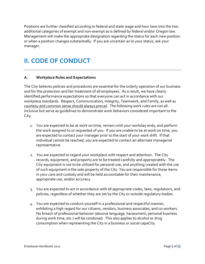Positions are further classified according to federal and state wage and hour laws into the two additional categories of exempt and non-exempt as is defined by federal and/or Oregon law. Management will make the appropriate designation regarding the status for each new position or when a position changes substantially. If you are uncertain as to your status, ask your manager.

## **II. CODE OF CONDUCT**

#### **A. Workplace Rules and Expectations**

The City believes policies and procedures are essential for the orderly operation of our business and for the protection and fair treatment of all employees. As a result, we have clearly identified performance expectations so that everyone can act in accordance with our workplace standards. Respect, Communication, Integrity, Teamwork, and Family, as well as courtesy and common sense should always prevail. The following work rules are not allinclusive but serve as guidelines to demonstrate work behaviors considered important to the City.

- 1. You are expected to be at work on time, remain until your workday ends, and perform the work assigned to or requested of you. If you are unable to be at work on time, you are expected to contact your manager prior to the start of your work shift. If that individual cannot be reached, you are expected to contact an alternate managerial representative.
- 2. You are expected to regard your workplace with respect and attention. The City records, equipment, and property are to be treated carefully and appropriately. The City equipment is not to be utilized for personal use, and anything created with the use of such equipment is the sole property of the City. You are responsible for those items in your care and custody and will be held accountable for their maintenance, appropriate use, and/or accuracy.
- 3. You are expected to act in accordance with all appropriate codes, laws, regulations, and policies, regardless of whether they are set by the City or outside regulatory bodies.
- 4. You are expected to conduct yourself in a professional and respectful manner, exhibiting a high regard for our citizens, vendors, business associates, and co-workers. No breach of professional behavior (abusive language, harassment, personal business during work time, etc.) will be condoned. This also applies to alcohol or drug consumption when representing the City in a business or social capaCity.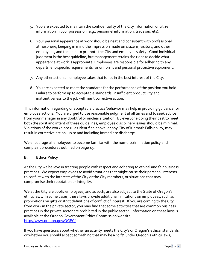- 5. You are expected to maintain the confidentiality of the City information or citizen information in your possession (e.g., personnel information, trade secrets).
- 6. Your personal appearance at work should be neat and consistent with professional atmosphere, keeping in mind the impression made on citizens, visitors, and other employees, and the need to promote the City and employee safety. Good individual judgment is the best guideline, but management retains the right to decide what appearance at work is appropriate. Employees are responsible for adhering to any department-specific requirements for uniforms and personal protective equipment.
- 7. Any other action an employee takes that is not in the best interest of the City.
- 8. You are expected to meet the standards for the performance of the position you hold. Failure to perform up to acceptable standards, insufficient productivity and inattentiveness to the job will merit corrective action.

This information regarding unacceptable practice/behavior may help in providing guidance for employee actions. You are urged to use reasonable judgment at all times and to seek advice from your manager in any doubtful or unclear situation. By everyone doing their best to meet both the spirit and intent of these guidelines, employee disciplinary issues should be minimal. Violations of the workplace rules identified above, or any City of Klamath Falls policy, may result in corrective action, up to and including immediate discharge.

We encourage all employees to become familiar with the non-discrimination policy and complaint procedures outlined on page [45.](#page-45-0)

#### **B. Ethics Policy**

At the City we believe in treating people with respect and adhering to ethical and fair business practices. We expect employees to avoid situations that might cause their personal interests to conflict with the interests of the City or the City members, or situations that may compromise their reputation or integrity.

We at the City are public employees, and as such, are also subject to the State of Oregon's ethics laws. In some cases, these laws provide additional limitations on employees, such as prohibitions on gifts or strict definitions of conflict of interest. If you are coming to the City from work in the private sector, you may find that some activities that are common business practices in the private sector are prohibited in the public sector. Information on these laws is available at the Oregon Government Ethics Commission website, [http://www.oregon.gov/OGEC/.](http://www.oregon.gov/OGEC/)

If you have questions about whether an activity meets the City's or Oregon's ethical standards, or whether you should accept something that may be a "gift" under Oregon's ethics laws,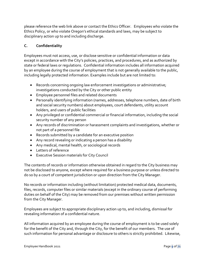please reference the web link above or contact the Ethics Officer. Employees who violate the Ethics Policy, or who violate Oregon's ethical standards and laws, may be subject to disciplinary action up to and including discharge.

#### **C. Confidentiality**

Employees must not access, use, or disclose sensitive or confidential information or data except in accordance with the City's policies, practices, and procedures, and as authorized by state or federal laws or regulations. Confidential information includes all information acquired by an employee during the course of employment that is not generally available to the public, including legally protected information. Examples include but are not limited to:

- Records concerning ongoing law enforcement investigations or administrative; investigations conducted by the City or other public entity
- Employee personnel files and related documents
- Personally identifying information (names, addresses, telephone numbers, date of birth and social security numbers) about employees, court defendants, utility account holders, and users of public facilities
- Any privileged or confidential commercial or financial information, including the social security number of any person
- Any records of discrimination or harassment complaints and investigations, whether or not part of a personnel file
- Records submitted by a candidate for an executive position
- Any record revealing or indicating a person has a disability
- Any medical, mental health, or sociological records
- Letters of reference
- Executive Session materials for City Council

The contents of records or information otherwise obtained in regard to the City business may not be disclosed to anyone, except where required for a business purpose or unless directed to do so by a court of competent jurisdiction or upon direction from the City Manager.

No records or information including (without limitation) protected medical data, documents, files, records, computer files or similar materials (except in the ordinary course of performing duties on behalf of the City) may be removed from our premises without written permission from the City Manager.

Employees are subject to appropriate disciplinary action up to, and including, dismissal for revealing information of a confidential nature.

All information acquired by an employee during the course of employment is to be used solely for the benefit of the City and, through the City, for the benefit of our members. The use of such information for personal advantage or disclosure to others is strictly prohibited. Likewise,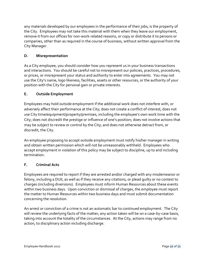any materials developed by our employees in the performance of their jobs, is the property of the City. Employees may not take this material with them when they leave our employment, remove it from our offices for non-work-related reasons, or copy or distribute it to persons or companies, other than as required in the course of business, without written approval from the City Manager.

#### **D. Misrepresentation**

As a City employee, you should consider how you represent us in your business transactions and interactions. You should be careful not to misrepresent our policies, practices, procedures, or prices, or misrepresent your status and authority to enter into agreements. You may not use the City's name, logo likeness, facilities, assets or other resources, or the authority of your position with the City for personal gain or private interests.

#### **E. Outside Employment**

Employees may hold outside employment if the additional work does not interfere with, or adversely affect their performance at the City; does not create a conflict of interest; does not use City time/equipment/property/premises, including the employee's own work time with the City; does not discredit the prestige or influence of one's position; does not involve actions that may be subject to review or control by the City; and does not otherwise detract from, or discredit, the City.

An employee proposing to accept outside employment must notify his/her manager in writing and obtain written permission which will not be unreasonably withheld. Employees who accept employment in violation of this policy may be subject to discipline, up to and including termination.

#### **F. Criminal Acts**

Employees are required to report if they are arrested and/or charged with any misdemeanor or felony, including a DUII, as well as if they receive any citations, or plead guilty or no contest to charges (including diversions). Employees must inform Human Resources about these events within two business days. Upon conviction or dismissal of charges, the employee must report the matter to Human Resources within two business days and must submit documentation concerning the resolution.

An arrest or conviction of a crime is not an automatic bar to continued employment. The City will review the underlying facts of the matter; any action taken will be on a case-by-case basis, taking into account the totality of the circumstances. At the City, actions may range from no action, to disciplinary action including discharge.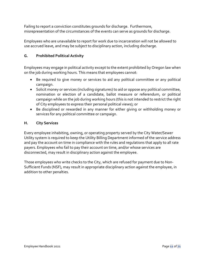Failing to report a conviction constitutes grounds for discharge. Furthermore, misrepresentation of the circumstances of the events can serve as grounds for discharge.

Employees who are unavailable to report for work due to incarceration will not be allowed to use accrued leave, and may be subject to disciplinary action, including discharge.

#### **G. Prohibited Political Activity**

Employees may engage in political activity except to the extent prohibited by Oregon law when on the job during working hours. This means that employees cannot:

- Be required to give money or services to aid any political committee or any political campaign.
- Solicit money or services (including signatures) to aid or oppose any political committee, nomination or election of a candidate, ballot measure or referendum, or political campaign while on the job during working hours (this is not intended to restrict the right of City employees to express their personal political views); or
- Be disciplined or rewarded in any manner for either giving or withholding money or services for any political committee or campaign.

#### **H. City Services**

Every employee inhabiting, owning, or operating property served by the City Water/Sewer Utility system is required to keep the Utility Billing Department informed of the service address and pay the account on time in compliance with the rules and regulations that apply to all rate payers. Employees who fail to pay their account on time, and/or whose services are disconnected, may result in disciplinary action against the employee.

Those employees who write checks to the City, which are refused for payment due to Non-Sufficient Funds (NSF), may result in appropriate disciplinary action against the employee, in addition to other penalties.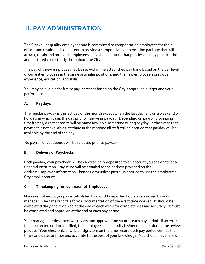## **III. PAY ADMINISTRATION**

The City values quality employees and is committed to compensating employees for their efforts and results. It is our intent to provide a competitive compensation package that will attract, retain and motivate employees. It is also our intent that policies and pay practices be administered consistently throughout the City.

The pay of a new employee may be set within the established pay band based on the pay level of current employees in the same or similar positions, and the new employee's previous experience, education, and skills.

You may be eligible for future pay increases based on the City's approved budget and your performance.

#### **A. Paydays**

The regular payday is the last day of the month except when the last day falls on a weekend or holiday, in which case, the day prior will serve as payday. Depending on payroll processing timeframes, direct deposits will be made available sometime during payday. In the event that payment is not available first thing in the morning all staff will be notified that payday will be available by the end of the day.

No payroll direct deposit will be released prior to payday.

#### **B. Delivery of Paychecks**

Each payday, your paycheck will be electronically deposited to an account you designate at a financial institution. Pay stubs will be emailed to the address provided on the Address/Employee Information Change Form unless payroll is notified to use the employee's City email account.

#### **C. Timekeeping for Non-exempt Employees**

Non-exempt employee pay is calculated by monthly reported hours as approved by your manager. The time record is formal documentation of the exact time worked. It should be completed daily and reviewed at the end of each week for completeness and accuracy. It must be completed and approved at the end of each pay period.

Your manager, or designee, will review and approve time records each pay period. If an error is to be corrected or time clarified, the employee should notify his/her manager during the review process. Your electronic or written signature on the time record each pay period verifies the times and dates are true and accurate to the best of your knowledge. You should never allow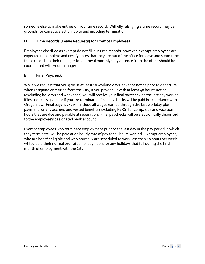someone else to make entries on your time record. Willfully falsifying a time record may be grounds for corrective action, up to and including termination.

#### **D. Time Records (Leave Requests) for Exempt Employees**

Employees classified as exempt do not fill out time records; however, exempt employees are expected to complete and certify hours that they are out of the office for leave and submit the these records to their manager for approval monthly; any absence from the office should be coordinated with your manager.

#### **E. Final Paycheck**

While we request that you give us at least 10 working days' advance notice prior to departure when resigning or retiring from the City, if you provide us with at least 48 hours' notice (excluding holidays and weekends) you will receive your final paycheck on the last day worked. If less notice is given, or if you are terminated, final paychecks will be paid in accordance with Oregon law. Final paychecks will include all wages earned through the last workday plus payment for any accrued and vested benefits (excluding PERS) for comp, sick and vacation hours that are due and payable at separation. Final paychecks will be electronically deposited to the employee's designated bank account.

Exempt employees who terminate employment prior to the last day in the pay period in which they terminate, will be paid at an hourly rate of pay for all hours worked. Exempt employees, who are benefit eligible and who normally are scheduled to work less than 40 hours per week, will be paid their normal pro-rated holiday hours for any holidays that fall during the final month of employment with the City.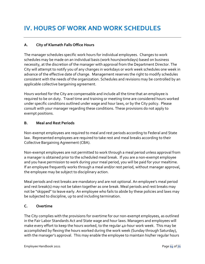#### **A. City of Klamath Falls Office Hours**

The manager schedules specific work hours for individual employees. Changes to work schedules may be made on an individual basis (work hours/workdays) based on business necessity, at the discretion of the manager with approval from the Department Director. The City will attempt to notify you of any changes in workdays or work week schedules one week in advance of the effective date of change. Management reserves the right to modify schedules consistent with the needs of the organization. Schedules and revisions may be controlled by an applicable collective bargaining agreement.

Hours worked for the City are compensable and include all the time that an employee is required to be on duty. Travel time and training or meeting time are considered hours worked under specific conditions outlined under wage and hour laws, or by the City policy. Please consult with your manager regarding these conditions. These provisions do not apply to exempt positions.

#### **B. Meal and Rest Periods**

Non-exempt employees are required to meal and rest periods according to Federal and State law. Represented employees are required to take rest and meal breaks according to their Collective Bargaining Agreement (CBA).

Non-exempt employees are not permitted to work through a meal period unless approval from a manager is obtained prior to the scheduled meal break. If you are a non-exempt employee and you have permission to work during your meal period, you will be paid for your mealtime. If an employee frequently works through a meal and/or rest period, without manager approval, the employee may be subject to disciplinary action.

Meal periods and rest breaks are mandatory and are not optional. An employee's meal period and rest break(s) may not be taken together as one break. Meal periods and rest breaks may not be "skipped" to leave early. An employee who fails to abide by these policies and laws may be subjected to discipline, up to and including termination.

#### **C. Overtime**

The City complies with the provisions for overtime for our non-exempt employees, as outlined in the Fair Labor Standards Act and State wage and hour laws. Managers and employees will make every effort to keep the hours worked, to the regular 40-hour work week. This may be accomplished by flexing the hours worked during the work week (Sunday through Saturday), with the manager's approval. This may enable the employee to maintain his/her regular hours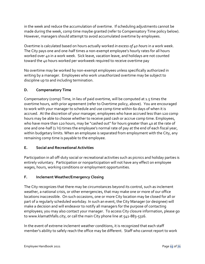in the week and reduce the accumulation of overtime. If scheduling adjustments cannot be made during the week, comp time maybe granted (refer to Compensatory Time policy below). However, managers should attempt to avoid accumulated overtime by employees.

Overtime is calculated based on hours actually worked *in excess of 40 hours* in a work week. The City pays one and one-half times a non-exempt employee's hourly rates for all hours worked over 40 in a work week. Sick leave, vacation leave, and holidays are not counted toward the 40 hours worked per workweek required to receive overtime pay

No overtime may be worked by non-exempt employees unless specifically authorized in writing by a manager. Employees who work unauthorized overtime may be subject to discipline up to and including termination.

#### **D. Compensatory Time**

Compensatory (comp) Time, in lieu of paid overtime, will be computed at 1.5 times the overtime hours, with prior agreement (refer to Overtime policy, above). You are encouraged to work with your manager to schedule and use comp time within 60 days of when it is accrued. At the discretion of your manager, employees who have accrued less than 120 comp hours may be able to choose whether to receive paid cash or accrue comp time. Employees, who have more than 120 hours, may be "cashed out" for hours greater than 40 at the rate of one and one-half (1 ½) times the employee's normal rate of pay at the end of each fiscal year, within budgetary limits. When an employee is separated from employment with the City, any remaining comp time is payable to the employee.

#### **E. Social and Recreational Activities**

Participation in all off-duty social or recreational activities such as picnics and holiday parties is entirely voluntary. Participation or nonparticipation will not have any effect on employee wages, hours, working conditions or employment opportunities.

#### **F. Inclement Weather/Emergency Closing**

The City recognizes that there may be circumstances beyond its control, such as inclement weather, a national crisis, or other emergencies, that may make one or more of our office locations inaccessible. On such occasions, one or more City location may be closed for all or part of a regularly scheduled workday. In such an event, the City Manager (or designee) will make a decision and will endeavor to notify all managers for the purpose of contacting employees; you may also contact your manager. To access City closure information, please go to www.klamathfalls.city, or call the main City phone line at 541-883-5316.

In the event of extreme inclement weather conditions, it is recognized that each staff member's ability to safely reach the office may be different. Staff who cannot report to work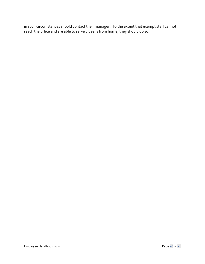in such circumstances should contact their manager. To the extent that exempt staff cannot reach the office and are able to serve citizens from home, they should do so.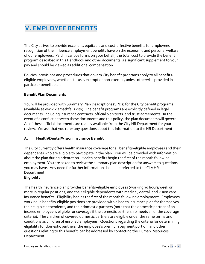## **V. EMPLOYEE BENEFITS**

The City strives to provide excellent, equitable and cost-effective benefits for employees in recognition of the influence employment benefits have on the economic and personal welfare of our employees. Paid in various forms on your behalf, the total cost to provide the benefit program described in this Handbook and other documents is a significant supplement to your pay and should be viewed as additional compensation.

Policies, provisions and procedures that govern City benefit programs apply to all benefitseligible employees, whether status is exempt or non-exempt, unless otherwise provided in a particular benefit plan.

#### **Benefit Plan Documents**

You will be provided with Summary Plan Descriptions (SPDs) for the City benefit programs (available at www.klamathfalls.city). The benefit programs are explicitly defined in legal documents, including insurance contracts, official plan texts, and trust agreements. In the event of a conflict between these documents and this policy, the plan documents will govern. All of these official documents are readily available from the City HR Department for your review. We ask that you refer any questions about this information to the HR Department.

#### **A. Health/Dental/Vision Insurance Benefit**

The City currently offers health insurance coverage for all benefits-eligible employees and their dependents who are eligible to participate in the plan. You will be provided with information about the plan during orientation. Health benefits begin the first of the month following employment. You are asked to review the summary plan description for answers to questions you may have. Any need for further information should be referred to the City HR Department.

#### **Eligibility**

The health insurance plan provides benefits-eligible employees (working 30 hours/week or more in regular positions) and their eligible dependents with medical, dental, and vision care insurance benefits. Eligibility begins the first of the month following employment. Employees working in benefits-eligible positions are provided with a health insurance plan for themselves, their eligible dependents, and their domestic partners (note that the domestic partner of an insured employee is eligible for coverage if the domestic partnership meets all of the coverage criteria). The children of covered domestic partners are eligible under the same terms and conditions as children of enrolled employees. Questions regarding the criteria for determining eligibility for domestic partners, the employee's premium payment portion, and other questions relating to this benefit, can be addressed by contacting the Human Resources Department.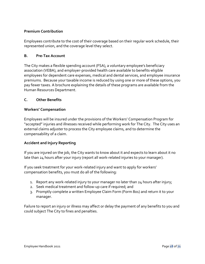#### **Premium Contribution**

Employees contribute to the cost of their coverage based on their regular work schedule, their represented union, and the coverage level they select.

#### **B. Pre-Tax Account**

The City makes a flexible spending account (FSA), a voluntary employee's beneficiary association (VEBA), and employer-provided health care available to benefits-eligible employees for dependent care expenses, medical and dental services, and employee insurance premiums. Because your taxable income is reduced by using one or more of these options, you pay fewer taxes. A brochure explaining the details of these programs are available from the Human Resources Department.

#### **C. Other Benefits**

#### **Workers' Compensation**

Employees will be insured under the provisions of the Workers' Compensation Program for "accepted" injuries and illnesses received while performing work for The City. The City uses an external claims adjuster to process the City employee claims, and to determine the compensability of a claim.

#### **Accident and Injury Reporting**

If you are injured on the job, the City wants to know about it and expects to learn about it no late than 24 hours after your injury (report all work-related injuries to your manager).

If you seek treatment for your work-related injury and want to apply for workers' compensation benefits, you must do all of the following:

- 1. Report any work-related injury to your manager no later than  $24$  hours after injury;
- 2. Seek medical treatment and follow-up care if required; and
- 3. Promptly complete a written Employee Claim Form (Form 801) and return it to your manager.

Failure to report an injury or illness may affect or delay the payment of any benefits to you and could subject The City to fines and penalties.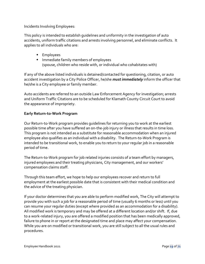Incidents Involving Employees:

This policy is intended to establish guidelines and uniformity in the investigation of auto accidents, uniform traffic citations and arrests involving personnel, and eliminate conflicts. It applies to all individuals who are:

- Employees
- Immediate family members of employees (spouse, children who reside with, or individual who cohabitates with)

If any of the above listed individuals is detained/contacted for questioning, citation, or auto accident investigation by a City Police Officer, he/she *must immediately* inform the officer that he/she is a City employee or family member.

Auto accidents are referred to an outside Law Enforcement Agency for investigation; arrests and Uniform Traffic Citations are to be scheduled for Klamath County Circuit Court to avoid the appearance of impropriety.

#### **Early Return-to-Work Program**

Our Return-to-Work program provides guidelines for returning you to work at the earliest possible time after you have suffered an on-the-job injury or illness that results in time loss. This program is not intended as a substitute for reasonable accommodation when an injured employee also qualifies as an individual with a disability. The Return-to-Work Program is intended to be transitional work, to enable you to return to your regular job in a reasonable period of time.

The Return-to-Work program for job related injuries consists of a team effort by managers, injured employees and their treating physicians, City management, and our workers' compensation claims staff.

Through this team effort, we hope to help our employees recover and return to full employment at the earliest possible date that is consistent with their medical condition and the advice of the treating physician.

If your doctor determines that you are able to perform modified work, The City will attempt to provide you with such a job for a reasonable period of time (usually 6 months or less) until you can resume your regular duties (except where provided as an accommodation for a disability). All modified work is temporary and may be offered at a different location and/or shift. If, due to a work-related injury, you are offered a modified position that has been medically approved, failure to phone in or report at the designated time and place may affect your compensation. While you are on modified or transitional work, you are still subject to all the usual rules and procedures.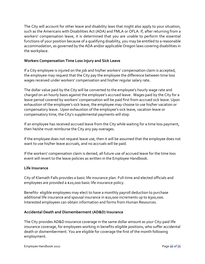The City will account for other leave and disability laws that might also apply to your situation, such as the Americans with Disabilities Act (ADA) and FMLA or OFLA. If, after returning from a workers' compensation leave, it is determined that you are unable to perform the essential functions of your position because of a qualifying disability, you may be entitled to a reasonable accommodation, as governed by the ADA and/or applicable Oregon laws covering disabilities in the workplace.

#### **Workers Compensation Time Loss Injury and Sick Leave**

If a City employee is injured on the job and his/her workers' compensation claim is accepted, the employee may request that the City pay the employee the difference between time loss wages received under workers' compensation and his/her regular salary rate**.** 

The dollar value paid by the City will be converted to the employee's hourly wage rate and charged on an hourly basis against the employee's accrued leave. Wages paid by the City for a leave period covered by workers' compensation will be paid first from accrued sick leave. Upon exhaustion of the employee's sick leave, the employee may choose to use his/her vacation or compensatory leave. Upon exhaustion of the employee's sick leave, vacation leave or compensatory time, the City's supplemental payments will stop.

If an employee has received accrued leave from the City while waiting for a time loss payment, then he/she must reimburse the City any pay overages.

If the employee does not request leave use, then it will be assumed that the employee does not want to use his/her leave accruals, and no accruals will be paid.

If the workers' compensation claim is denied, all future use of accrued leave for the time loss event will revert to the leave policies as written in the Employee Handbook.

#### **Life Insurance**

City of Klamath Falls provides a basic life insurance plan. Full-time and elected officials and employees are provided a \$20,000 basic life insurance policy.

Benefits- eligible employees may elect to have a monthly payroll deduction to purchase additional life insurance and spousal insurance in \$10,000 increments up to \$300,000. Interested employees can obtain information and forms from Human Resources.

#### **Accidental Death and Dismemberment (AD&D) Insurance**

The City provides AD&D insurance coverage in the same dollar amount as your City-paid life insurance coverage, for employees working in benefits-eligible positions, who suffer accidental death or dismemberment. You are eligible for coverage the first of the month following employment.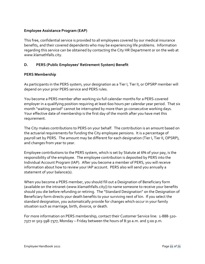#### **Employee Assistance Program (EAP)**

This free, confidential service is provided to all employees covered by our medical insurance benefits, and their covered dependents who may be experiencing life problems. Information regarding this service can be obtained by contacting the City HR Department or on the web at www.klamathfalls.city.

#### **D. PERS (Public Employees' Retirement System) Benefit**

#### **PERS Membership**

As participants in the PERS system, your designation as a Tier I, Tier II, or OPSRP member will depend on your prior PERS service and PERS rules.

You become a PERS member after working six full calendar months for a PERS-covered employer in a qualifying position requiring at least 600 hours per calendar year period. That six month "waiting period" cannot be interrupted by more than 30 consecutive working days. Your effective date of membership is the first day of the month after you have met this requirement.

The City makes contributions to PERS on your behalf. The contribution is an amount based on the actuarial requirements for funding the City employee pensions. It is a percentage of payroll set by PERS. The amount may be different for each designation (Tier I, Tier II, OPSRP), and changes from year to year.

Employee contributions to the PERS system, which is set by Statute at 6% of your pay, is the responsibility of the employee. The employee contribution is deposited by PERS into the Individual Account Program (IAP). After you become a member of PERS, you will receive information about how to review your IAP account. PERS also will send you annually a statement of your balance(s).

When you become a PERS member, you should fill out a Designation of Beneficiary form (available on the intranet-(www.klamathfalls.city)) to name someone to receive your benefits should you die before refunding or retiring. The "Standard Designation" on the Designation of Beneficiary form directs your death benefits to your surviving next of kin. If you select the standard designation, you automatically provide for changes which occur in your family situation such as marriage, birth, divorce, or death.

For more information on PERS membership, contact their Customer Service line: 1-888-320- 7377 or 503-598-7377, Monday – Friday between the hours of 8:30 a.m. and 5:00 p.m.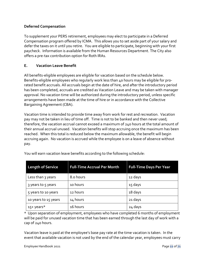#### **Deferred Compensation**

To supplement your PERS retirement, employees may elect to participate in a Deferred Compensation program offered by ICMA. This allows you to set aside part of your salary and defer the taxes on it until you retire. You are eligible to participate, beginning with your first paycheck. Information is available from the Human Resources Department. The City also offers a pre-tax contribution option for Roth IRAs.

#### **E. Vacation Leave Benefit**

All benefits-eligible employees are eligible for vacation based on the schedule below. Benefits-eligible employees who regularly work less than 40 hours may be eligible for prorated benefit accruals. All accruals begin at the date of hire, and after the introductory period has been completed, accruals are credited as Vacation Leave and may be taken with manager approval. No vacation time will be authorized during the introductory period, unless specific arrangements have been made at the time of hire or in accordance with the Collective Bargaining Agreement (CBA).

Vacation time is intended to provide time away from work for rest and recreation. Vacation pay may not be taken in lieu of time off. Time is not to be banked and then never used; therefore, the vacation accrual cannot exceed a maximum of 240 hours at the total amount of their annual accrual unused. Vacation benefits will stop accruing once the maximum has been reached. When this total is reduced below the maximum allowable, the benefit will begin accruing again. No vacation is accrued while the employee is on a leave of absence without pay.

| <b>Length of Service</b> | <b>Full-Time Accrual Per Month</b> | <b>Full-Time Days Per Year</b> |
|--------------------------|------------------------------------|--------------------------------|
| Less than 3 years        | 8.0 hours                          | 12 days                        |
| 3 years to 5 years       | 10 hours                           | 15 days                        |
| 5 years to 10 years      | 12 hours                           | 18 days                        |
| 10 years to 15 years     | 14 hours                           | 21 days                        |
| 15+ years*               | 16 hours                           | 24 days                        |

You will earn vacation leave benefits according to the following schedule:

\* Upon separation of employment, employees who have completed 6 months of employment will be paid for unused vacation time that has been earned through the last day of work with a cap of 240 hours.

Vacation leave is paid at the employee's base pay rate at the time vacation is taken. In the event that available vacation is not used by the end of the calendar year, employees must carry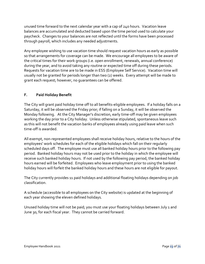unused time forward to the next calendar year with a cap of 240 hours. Vacation leave balances are accumulated and deducted based upon the time period used to calculate your paycheck. Changes to your balances are not reflected until the forms have been processed through payroll, which includes any needed adjustments.

Any employee wishing to use vacation time should request vacation hours as early as possible so that arrangements for coverage can be made. We encourage all employees to be aware of the critical times for their work groups (i.e. open enrollment, renewals, annual conference) during the year, and to avoid taking any routine or expected time off during these periods. Requests for vacation time are to be made in ESS (Employee Self Service). Vacation time will usually not be granted for periods longer than two (2) weeks. Every attempt will be made to grant each request; however, no guarantees can be offered.

#### **F. Paid Holiday Benefit**

The City will grant paid holiday time off to all benefits-eligible employees. If a holiday falls on a Saturday, it will be observed the Friday prior; if falling on a Sunday, it will be observed the Monday following. At the City Manager's discretion, early time-off may be given employees working the day prior to a City holiday. Unless otherwise stipulated, spontaneous leave such as this will not benefit the vacation banks of employees already using paid leave when such time-off is awarded.

All exempt, non-represented employees shall receive holiday hours, relative to the hours of the employees' work schedules for each of the eligible holidays which fall on their regularly scheduled days off. The employee must use all banked holiday hours prior to the following pay period. Banked holiday hours may not be used prior to the holiday in which the employee will receive such banked holiday hours. If not used by the following pay period, the banked holiday hours earned will be forfeited. Employees who leave employment prior to using the banked holiday hours will forfeit the banked holiday hours and these hours are not eligible for payout.

The City currently provides 11 paid holidays and additional floating holidays depending on job classification.

A schedule (accessible to all employees on the City website) is updated at the beginning of each year showing the eleven defined holidays.

Unused holiday time will not be paid; you must use your floating holidays between July 1 and June 30, for each fiscal year. They cannot be carried forward.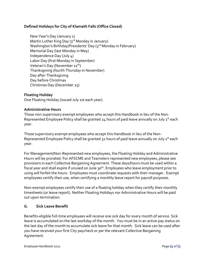#### **Defined Holidays for City of Klamath Falls (Office Closed)**

New Year's Day (January 1) Martin Luther King Day (3<sup>rd</sup> Monday in January) Washington's Birthday/Presidents' Day (3rd Monday in February) Memorial Day (last Monday in May) Independence Day (July 4) Labor Day (first Monday in September) Veteran's Day (November 11<sup>th</sup>) Thanksgiving (fourth Thursday in November) Day after Thanksgiving Day before Christmas Christmas Day (December 25)

#### **Floating Holiday**

One Floating Holiday (issued July 1st each year).

#### **Administrative Hours**

Those non-supervisory exempt employees who accept this Handbook in lieu of the Non-Represented Employee Policy shall be granted  $24$  hours of paid leave annually on July  $1^{st}$  each year.

Those supervisory exempt employees who accept this Handbook in lieu of the Non-Represented Employee Policy shall be granted 32 hours of paid leave annually on July 1<sup>st</sup> each year.

For Management/Non-Represented new employees, the Floating Holiday and Administrative Hours will be prorated. For AFSCME and Teamsters-represented new employees, please see provisions in each Collective Bargaining Agreement. These days/hours must be used within a fiscal year and shall expire if unused on June 30<sup>th</sup>. Employees who leave employment prior to using will forfeit the hours. Employees must coordinate requests with their manager. Exempt employees certify their use, when certifying a monthly leave report for payroll purposes.

Non-exempt employees certify their use of a floating holiday when they certify their monthly timesheets (or leave report). Neither Floating Holidays nor Administrative Hours will be paid out upon termination.

#### **G. Sick Leave Benefit**

Benefits-eligible full-time employees will receive one sick day for every month of service. Sick leave is accumulated on the last workday of the month. You must be in an active pay status on the last day of the month to accumulate sick leave for that month. Sick leave can be used after you have received your first City paycheck or per the relevant Collective Bargaining Agreement.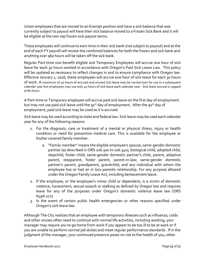Union employees that are moved to an Exempt position and have a sick balance that was currently subject to payout will have their sick balance moved to a Frozen Sick Bank and it will be eligible at the non-rep frozen sick payout terms.

These employees will continue to earn time in their sick bank (not subject to payout) and at the end of each FY payroll will review the combined balances for both the frozen and sick bank and anything over 960 hours will be taken off the sick bank.

Regular Part-time non-benefit eligible and Temporary Employees will accrue one hour of sick leave for each 30 hours worked in accordance with Oregon's Paid Sick Leave Law. This policy will be updated as necessary to reflect changes in and to ensure compliance with Oregon law. Effective January 1, 2016, these employees will accrue one hour of sick leave for each 30 hours of work. A maximum of 40 hours of accrued and unused sick leave may be carried over for use in a subsequent calendar year but employees may use only 40 hours of sick leave each calendar year. Sick leave accrual is capped at 80 hours.

A Part-time or Temporary employee will accrue paid sick leave on the first day of employment but may not use paid sick leave until the 91<sup>st</sup> day of employment. After the 91<sup>st</sup> day of employment, paid sick leave may be used as it is accrued.

Sick leave may be used according to state and federal law. Sick leave may be used each calendar year for any of the following reasons:

- 1. For the diagnosis, care or treatment of a mental or physical illness, injury or health condition or need for preventive medical care. This is available for the employee or his/her covered family member.
	- a. "Family member" means the eligible employee's spouse, same-gender domestic partner (as described in ORS 106.300 to 106.340), biological child, adopted child, stepchild, foster child; same-gender domestic partner's child, parent, adoptive parent, stepparent, foster parent, parent-in-law; same-gender domestic partner's parent, grandparent, grandchild; and any individual with whom the employee has or had an *in loco parentis* relationship. For any purpose allowed under the Oregon Family Leave Act, including bereavement leave.
- 2. If the employee, or the employee's minor child or dependent, is a victim of domestic violence, harassment, sexual assault or stalking as defined by Oregon law and requires leave for any of the purposes under Oregon's domestic violence leave law (ORS 659A.272).
- 3. In the event of certain public health emergencies or other reasons specified under Oregon's sick leave law.

Although The City realizes that an employee with temporary illnesses such as influenza, colds and other viruses often need to continue with normal life activities, including working, your manager may require you to go home from work if you appear to be too ill to be at work or if you are unable to perform normal job duties and meet regular performance standards. If in the judgment of the manager, your continued presence poses no risk to the health of you, other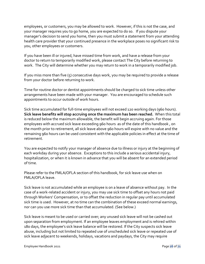employees, or customers, you may be allowed to work. However, if this is not the case, and your manager requires you to go home, you are expected to do so. If you dispute your manager's decision to send you home, then you must submit a statement from your attending health care provider that your continued presence in the workplace poses no significant risk to you, other employees or customers.

If you have been ill or injured, have missed time from work, and have a release from your doctor to return to temporarily modified work, please contact The City before returning to work. The City will determine whether you may return to work in a temporarily modified job.

If you miss more than five (5) consecutive days work, you may be required to provide a release from your doctor before returning to work.

Time for routine doctor or dentist appointments should be charged to sick time unless other arrangements have been made with your manager. You are encouraged to schedule such appointments to occur outside of work hours.

Sick time accumulated for full-time employees will not exceed 120 working days (960 hours). **Sick leave benefits will stop accruing once the maximum has been reached.** When this total is reduced below the maximum allowable, the benefit will begin accruing again. For those employees with accrued sick leave exceeding 960 hours as of the date of this handbook , on the month prior to retirement, all sick leave above 960 hours will expire with no value and the remaining 960 hours can be used consistent with the applicable policies in effect at the time of retirement.

You are expected to notify your manager of absence due to illness or injury at the beginning of each workday during your absence. Exceptions to this include a serious accidental injury, hospitalization, or when it is known in advance that you will be absent for an extended period of time.

Please refer to the FMLA/OFLA section of this handbook, for sick leave use when on FMLA/OFLA leave.

Sick leave is not accumulated while an employee is on a leave of absence without pay. In the case of a work-related accident or injury, you may use sick time to offset any hours not paid through Workers' Compensation, or to offset the reduction in regular pay until accumulated sick time is used. However, at no time can the combination of these exceed normal earnings, nor can you use more sick time than that accumulated. (See below.)

Sick leave is meant to be used or carried over; any unused sick leave will not be cashed out upon separation from employment. If an employee leaves employment and is rehired within 180 days, the employee's sick leave balance will be restored. If the City suspects sick leave abuse, including but not limited to repeated use of unscheduled sick leave or repeated use of sick leave adjacent to weekends, holidays, vacations and paydays, the City may require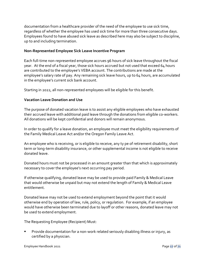documentation from a healthcare provider of the need of the employee to use sick time, regardless of whether the employee has used sick time for more than three consecutive days. Employees found to have abused sick leave as described here may also be subject to discipline, up to and including termination.

#### **Non-Represented Employee Sick Leave Incentive Program**

Each full-time non-represented employee accrues 96 hours of sick leave throughout the fiscal year. At the end of a fiscal year, those sick hours accrued but not used that exceed 64 hours are contributed to the employee's VEBA account. The contributions are made at the employee's salary rate of pay. Any remaining sick leave hours, up to 64 hours, are accumulated in the employee's current sick bank account.

Starting in 2022, all non-represented employees will be eligible for this benefit.

#### **Vacation Leave Donation and Use**

The purpose of donated vacation leave is to assist any eligible employees who have exhausted their accrued leave with additional paid leave through the donations from eligible co-workers. All donations will be kept confidential and donors will remain anonymous.

In order to qualify for a leave donation, an employee must meet the eligibility requirements of the Family Medical Leave Act and/or the Oregon Family Leave Act.

An employee who is receiving, or is eligible to receive, any ty pe of retirement disability, short term or long-term disability insurance, or other supplemental income is not eligible to receive donated leave.

Donated hours must not be processed in an amount greater than that which is approximately necessary to cover the employee's next occurring pay period.

If otherwise qualifying, donated leave may be used to provide paid Family & Medical Leave that would otherwise be unpaid but may not extend the length of Family & Medical Leave entitlement.

Donated leave may not be used to extend employment beyond the point that it would otherwise end by operation of law, rule, policy, or regulation. For example, if an employee would have otherwise been terminated due to layoff or other reasons, donated leave may not be used to extend employment.

The Requesting Employee (Recipient) Must:

 Provide documentation for a non-work related seriously disabling illness or injury, as certified by a physician.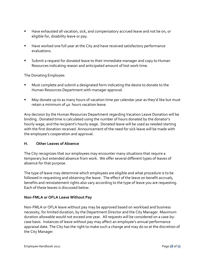- Have exhausted all vacation, sick, and compensatory accrued leave and not be on, or eligible for, disability leave or pay.
- Have worked one full year at the City and have received satisfactory performance evaluations.
- Submit a request for donated leave to their immediate manager and copy to Human Resources indicating reason and anticipated amount of lost work time.

The Donating Employee:

- Must complete and submit a designated form indicating the desire to donate to the Human Resources Department with manager approval.
- May donate up to as many hours of vacation time per calendar year as they'd like but must retain a minimum of 40 hours vacation leave.

Any decision by the Human Resources Department regarding Vacation Leave Donation will be binding. Donated time is calculated using the number of hours donated by the donator's hourly wage, and the recipient's hourly wage. Donated leave will be used as needed starting with the first donation received. Announcement of the need for sick leave will be made with the employee's cooperation and approval.

#### **H. Other Leaves of Absence**

The City recognizes that our employees may encounter many situations that require a temporary but extended absence from work. We offer several different types of leaves of absence for that purpose.

The type of leave may determine which employees are eligible and what procedure is to be followed in requesting and obtaining the leave. The effect of the leave on benefit accruals, benefits and reinstatement rights also vary according to the type of leave you are requesting. Each of these leaves is discussed below.

#### **Non-FMLA or OFLA Leave Without Pay**

Non-FMLA or OFLA leave without pay may be approved based on workload and business necessity, for limited duration, by the Department Director and the City Manager. Maximum duration allowable would not exceed one year. All requests will be considered on a case-bycase basis. Instances of leave without pay may affect an employee's annual performance appraisal date. The City has the right to make such a change and may do so at the discretion of the City Manager.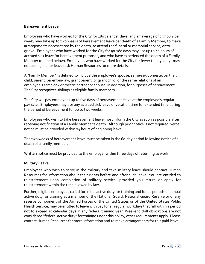#### **Bereavement Leave**

Employees who have worked for the City for 180 calendar days, and an average of 25 hours per week, may take up to two weeks of bereavement leave per death of a Family Member, to make arrangements necessitated by the death, to attend the funeral or memorial service, or to grieve. Employees who have worked for the City for 90-180 days may use up to 40 hours of accrued sick leave for bereavement purposes, and who have experienced the death of a Family Member (defined below). Employees who have worked for the City for fewer than 90 days may not be eligible for leave; ask Human Resources for more details.

A "Family Member" is defined to include the employee's spouse, same-sex domestic partner, child, parent, parent-in-law, grandparent, or grandchild, or the same relations of an employee's same-sex domestic partner or spouse. In addition, for purposes of bereavement The City recognizes siblings as eligible family members.

The City will pay employees up to five days of bereavement leave at the employee's regular pay rate. Employees may use any accrued sick leave or vacation time for extended time during the period of bereavement for up to two weeks.

Employees who wish to take bereavement leave must inform the City as soon as possible after receiving notification of a Family Member's death. Although prior notice is not required, verbal notice must be provided within 24 hours of beginning leave.

The two weeks of bereavement leave must be taken in the 60-day period following notice of a death of a family member.

Written notice must be provided to the employer within three days of returning to work.

#### **Military Leave**

Employees who wish to serve in the military and take military leave should contact Human Resources for information about their rights before and after such leave. You are entitled to reinstatement upon completion of military service, provided you return or apply for reinstatement within the time allowed by law.

Further, eligible employees called for initial active duty for training and for all periods of annual active duty for training as a member of the National Guard, National Guard Reserve or of any reserve component of the Armed Forces of the United States or of the United States Public Health Service, may be entitled to leave with pay for all regular workdays that fall within a period not to exceed 15 calendar days in any federal training year. Weekend drill obligations are not considered "federal active duty" for training under this policy; other requirements apply. Please contact Human Resources for more information and to make arrangements for this paid leave.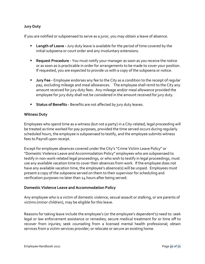#### **Jury Duty**

If you are notified or subpoenaed to serve as a juror, you may obtain a leave of absence.

- **Length of Leave -** Jury duty leave is available for the period of time covered by the initial subpoena or court order and any involuntary extensions.
- **Request Procedure -** You must notify your manager as soon as you receive the notice or as soon as is practicable in order for arrangements to be made to cover your position. If requested, you are expected to provide us with a copy of the subpoena or notice.
- **Jury Fee -** Employee endorses any fee to the City as a condition to the receipt of regular pay, excluding mileage and meal allowances. The employee shall remit to the City any amount received for jury duty fees. Any mileage and/or meal allowance provided the employee for jury duty shall not be considered in the amount received for jury duty.
- **Status of Benefits** Benefits are not affected by jury duty leaves.

#### **Witness Duty**

Employees who spend time as a witness (but not a party) in a City-related, legal proceeding will be treated as time worked for pay purposes, provided the time served occurs during regularly scheduled hours, the employee is subpoenaed to testify, and the employee submits witness fees to Payroll upon receipt.

Except for employee absences covered under the City's "Crime Victim Leave Policy" or "Domestic Violence Leave and Accommodation Policy" employees who are subpoenaed to testify in non-work-related legal proceedings, or who wish to testify in legal proceedings, must use any available vacation time to cover their absences from work. If the employee does not have any available vacation time, the employee's absence(s) will be unpaid. Employees must present a copy of the subpoena served on them to their supervisor for scheduling and verification purposes no later than 24 hours after being served.

#### **Domestic Violence Leave and Accommodation Policy**

Any employee who is a victim of domestic violence, sexual assault or stalking, or are parents of victims (minor children), may be eligible for this leave.

Reasons for taking leave include the employee's (or the employee's dependent's) need to: seek legal or law enforcement assistance or remedies; secure medical treatment for or time off to recover from injuries; seek counseling from a licensed mental health professional; obtain services from a victim services provider; or relocate or secure an existing home.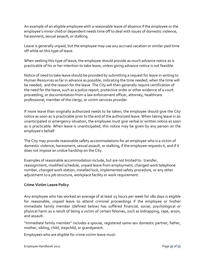An example of an eligible employee with a reasonable leave of absence if the employee or the employee's minor child or dependent needs time off to deal with issues of domestic violence, harassment, sexual assault, or stalking.

Leave is generally unpaid, but the employee may use any accrued vacation or similar paid time off while on this type of leave.

When seeking this type of leave, the employee should provide as much advance notice as is practicable of his or her intention to take leave, unless giving advance notice is not feasible.

Notice of need to take leave should be provided by submitting a request for leave in writing to Human Resources as far in advance as possible, indicating the time needed, when the time will be needed, and the reason for the leave. The City will then generally require certification of the need for the leave, such as a police report, protective order or other evidence of a court proceeding, or documentation from a law enforcement officer, attorney, healthcare professional, member of the clergy, or victim services provider.

If more leave than originally authorized needs to be taken, the employee should give the City notice as soon as is practicable prior to the end of the authorized leave. When taking leave in an unanticipated or emergency situation, the employee must give verbal or written notice as soon as is practicable. When leave is unanticipated, this notice may be given by any person on the employee's behalf.

The City may provide reasonable safety accommodations for an employee who is a victim of domestic violence, harassment, sexual assault, or stalking, if the employee requests it, and if it does not impose an undue hardship on the City.

Examples of reasonable accommodation include, but are not limited to: transfer, reassignment, modified schedule, unpaid leave from employment, changed work telephone number, changed work station, installed lock, implemented safety procedure, or any other adjustment to a job structure, workplace facility or work requirement.

#### **Crime Victim Leave Policy**

Any employee who has worked an average of at least 25 hours per week for 180 days is eligible for reasonable, unpaid leave to attend criminal proceedings if the employee or his/her immediate family member (defined below) has suffered financial, social, psychological or physical harm as a result of being a victim of certain felonies, such as kidnapping, rape, arson, and assault.

"Immediate family member" includes a spouse, registered same-sex domestic partner, father, mother, sibling, child, stepchild, or grandparent.

Employees who are eligible for crime victim leave must: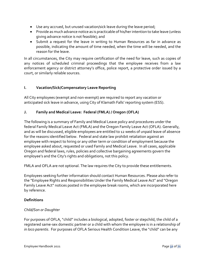- Use any accrued, but unused vacation/sick leave during the leave period;
- Provide as much advance notice as is practicable of his/her intention to take leave (unless giving advance notice is not feasible); and
- Submit a request for the leave in writing to Human Resources as far in advance as possible, indicating the amount of time needed, when the time will be needed, and the reason for the leave.

In all circumstances, the City may require certification of the need for leave, such as copies of any notices of scheduled criminal proceedings that the employee receives from a law enforcement agency or district attorney's office, police report, a protective order issued by a court, or similarly reliable sources.

#### **I. Vacation/Sick/Compensatory Leave Reporting**

All City employees (exempt and non-exempt) are required to report any vacation or anticipated sick leave in advance, using City of Klamath Falls' reporting system (ESS).

#### **J. Family and Medical Leave: Federal (FMLA) / Oregon (OFLA)**

The following is a summary of Family and Medical Leave policy and procedures under the federal Family Medical Leave Act (FMLA) and the Oregon Family Leave Act (OFLA). Generally, and as will be discussed, eligible employees are entitled to 12 weeks of unpaid leave of absence for the reasons identified below. Federal and state law prohibit retaliation against an employee with respect to hiring or any other term or condition of employment because the employee asked about, requested or used Family and Medical Leave. In all cases, applicable Oregon and federal laws, rules, policies and collective bargaining agreements govern the employee's and the City's rights and obligations, not this policy.

FMLA and OFLA are not optional. The law requires the City to provide these entitlements.

Employees seeking further information should contact Human Resources. Please also refer to the "Employee Rights and Responsibilities Under the Family Medical Leave Act" and "Oregon Family Leave Act" notices posted in the employee break rooms, which are incorporated here by reference.

#### **Definitions**

#### *Child/Son or Daughter*

For purposes of OFLA, "child" includes a biological, adopted, foster or stepchild, the child of a registered same-sex domestic partner or a child with whom the employee is in a relationship of *in loco parentis*. For purposes of OFLA Serious Health Condition Leave, the "child" can be any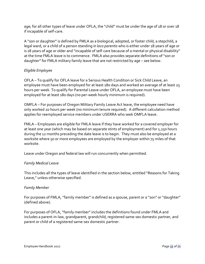age; for all other types of leave under OFLA, the "child" must be under the age of 18 or over 18 if incapable of self-care.

A "son or daughter" is defined by FMLA as a biological, adopted, or foster child, a stepchild, a legal ward, or a child of a person standing *in loco parentis* who is either under 18 years of age or is 18 years of age or older and "incapable of self-care because of a mental or physical disability" at the time FMLA leave is to commence. FMLA also provides separate definitions of "son or daughter" for FMLA military family leave that are not restricted by age – see below.

#### *Eligible Employee*

OFLA – To qualify for OFLA leave for a Serious Health Condition or Sick Child Leave, an employee must have been employed for at least 180 days and worked an average of at least 25 hours per week. To qualify for Parental Leave under OFLA, an employee must have been employed for at least 180 days (no per-week hourly minimum is required).

OMFLA – For purposes of Oregon Military Family Leave Act leave, the employee need have only worked 20 hours per week (no minimum tenure required). A different calculation method applies for reemployed service members under USERRA who seek OMFLA leave.

FMLA – Employees are eligible for FMLA leave if they have worked for a covered employer for at least one year (which may be based on separate stints of employment) and for 1,250 hours during the 12 months preceding the date leave is to begin. They must also be employed at a worksite where 50 or more employees are employed by the employer within 75 miles of that worksite.

Leave under Oregon and federal law will run concurrently when permitted.

#### *Family Medical Leave*

This includes all the types of leave identified in the section below, entitled "Reasons for Taking Leave," unless otherwise specified.

#### *Family Member*

For purposes of FMLA, "family member" is defined as a spouse, parent or a "son" or "daughter" (defined above).

For purposes of OFLA, "family member" includes the definitions found under FMLA and includes a parent-in-law, grandparent, grandchild, registered same-sex domestic partner, and parent or child of a registered same-sex domestic partner.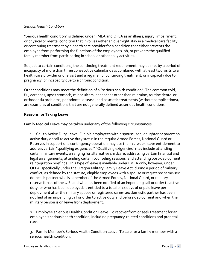#### *Serious Health Condition*

"Serious health condition" is defined under FMLA and OFLA as an illness, injury, impairment, or physical or mental condition that involves either an overnight stay in a medical care facility, or continuing treatment by a health care provider for a condition that either prevents the employee from performing the functions of the employee's job, or prevents the qualified family member from participating in school or other daily activities.

Subject to certain conditions, the continuing treatment requirement may be met by a period of incapacity of more than three consecutive calendar days combined with at least two visits to a health care provider or one visit and a regimen of continuing treatment, or incapacity due to pregnancy, or incapacity due to a chronic condition.

Other conditions may meet the definition of a "serious health condition". The common cold, flu, earaches, upset stomach, minor ulcers, headaches other than migraine, routine dental or orthodontia problems, periodontal disease, and cosmetic treatments (without complications), are examples of conditions that are not generally defined as serious health conditions.

#### **Reasons for Taking Leave**

Family Medical Leave may be taken under any of the following circumstances:

1. Call to Active Duty Leave: Eligible employees with a spouse, son, daughter or parent on active duty or call to active duty status in the regular Armed Forces, National Guard or Reserves in support of a contingency operation may use their 12-week leave entitlement to address certain "qualifying exigencies." "Qualifying exigencies" may include attending certain military events, arranging for alternative childcare, addressing certain financial and legal arrangements, attending certain counseling sessions, and attending post-deployment reintegration briefings. This type of leave is available under FMLA only; however, under OFLA, specifically under the Oregon Military Family Leave Act, during a period of military conflict, as defined by the statute, eligible employees with a spouse or registered same-sex domestic partner who is a member of the Armed Forces, National Guard, or military reserve forces of the U.S. and who has been notified of an impending call or order to active duty, or who has been deployed, is entitled to a total of 14 days of unpaid leave per deployment after the military spouse or registered same-sex domestic partner has been notified of an impending call or order to active duty and before deployment and when the military person is on leave from deployment.

2. Employee's Serious Health Condition Leave: To recover from or seek treatment for an employee's serious health condition, including pregnancy-related conditions and prenatal care.

3. Family Member's Serious Health Condition Leave: To care for a family member with a serious health condition.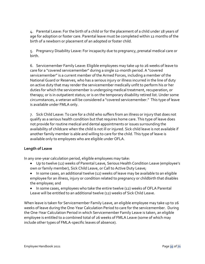4. Parental Leave: For the birth of a child or for the placement of a child under 18 years of age for adoption or foster care. Parental leave must be completed within 12 months of the birth of a newborn or placement of an adopted or foster child.

5. Pregnancy Disability Leave: For incapacity due to pregnancy, prenatal medical care or birth.

6. Servicemember Family Leave: Eligible employees may take up to 26 weeks of leave to care for a "covered servicemember" during a single 12-month period. A "covered servicemember" is a current member of the Armed Forces, including a member of the National Guard or Reserves, who has a serious injury or illness incurred in the line of duty on active duty that may render the servicemember medically unfit to perform his or her duties for which the servicemember is undergoing medical treatment, recuperation, or therapy; or is in outpatient status; or is on the temporary disability retired list. Under some circumstances, a veteran will be considered a "covered servicemember." This type of leave is available under FMLA only.

7. Sick Child Leave: To care for a child who suffers from an illness or injury that does not qualify as a serious health condition but that requires home care. This type of leave does not provide for routine medical and dental appointments or issues surrounding the availability of childcare when the child is not ill or injured. Sick child leave is not available if another family member is able and willing to care for the child. This type of leave is available only to employees who are eligible under OFLA.

#### **Length of Leave**

In any one-year calculation period, eligible employees may take:

- Up to twelve (12) weeks of Parental Leave, Serious Health Condition Leave (employee's own or family member), Sick Child Leave, or Call to Active Duty Leave;
- In some cases, an additional twelve (12) weeks of leave may be available to an eligible employee for an illness, injury or condition related to pregnancy or childbirth that disables the employee; and
- In some cases, employees who take the entire twelve (12) weeks of OFLA Parental Leave will be entitled to an additional twelve (12) weeks of Sick Child Leave.

When leave is taken for Servicemember Family Leave, an eligible employee may take up to 26 weeks of leave during the One-Year Calculation Period to care for the servicemember. During the One-Year Calculation Period in which Servicemember Family Leave is taken, an eligible employee is entitled to a combined total of 26 weeks of FMLA Leave (some of which may include other types of FMLA-specific leaves of absence).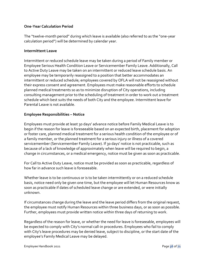#### **One-Year Calculation Period**

The "twelve-month period" during which leave is available (also referred to as the "one-year calculation period") will be determined by calendar year.

#### **Intermittent Leave**

Intermittent or reduced schedule leave may be taken during a period of Family member or Employee Serious Health Condition Leave or Servicemember Family Leave. Additionally, Call to Active Duty Leave may be taken on an intermittent or reduced leave schedule basis. An employee may be temporarily reassigned to a position that better accommodates an intermittent or reduced schedule; employees covered by OFLA will not be reassigned without their express consent and agreement. Employees must make reasonable efforts to schedule planned medical treatments so as to minimize disruption of City operations, including consulting management prior to the scheduling of treatment in order to work out a treatment schedule which best suits the needs of both City and the employee. Intermittent leave for Parental Leave is not available.

#### **Employee Responsibilities – Notice**

Employees must provide at least 30 days' advance notice before Family Medical Leave is to begin if the reason for leave is foreseeable based on an expected birth, placement for adoption or foster care, planned medical treatment for a serious health condition of the employee or of a family member, or the planned treatment for a serious injury or illness of a covered servicemember (Servicemember Family Leave). If 30 days' notice is not practicable, such as because of a lack of knowledge of approximately when leave will be required to begin, a change in circumstances, or a medical emergency, notice must be given as soon as practicable.

For Call to Active Duty Leave, notice must be provided as soon as practicable, regardless of how far in advance such leave is foreseeable.

Whether leave is to be continuous or is to be taken intermittently or on a reduced schedule basis, notice need only be given one time, but the employee will let Human Resources know as soon as practicable if dates of scheduled leave change or are extended, or were initially unknown.

If circumstances change during the leave and the leave period differs from the original request, the employee must notify Human Resources within three business days, or as soon as possible. Further, employees must provide written notice within three days of returning to work.

Regardless of the reason for leave, or whether the need for leave is foreseeable, employees will be expected to comply with City's normal call-in procedures. Employees who fail to comply with City's leave procedures may be denied leave, subject to discipline, or the start date of the employee's Family Medical Leave may be delayed.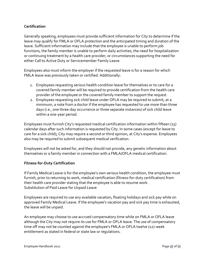## **Certification**

Generally speaking, employees must provide sufficient information for City to determine if the leave may qualify for FMLA or OFLA protection and the anticipated timing and duration of the leave. Sufficient information may include that the employee is unable to perform job functions, the family member is unable to perform daily activities, the need for hospitalization or continuing treatment by a health care provider, or circumstances supporting the need for either Call to Active Duty or Servicemember Family Leave.

Employees also must inform the employer if the requested leave is for a reason for which FMLA leave was previously taken or certified. Additionally:

- 1. Employees requesting serious health condition leave for themselves or to care for a covered family member will be required to provide certification from the health care provider of the employee or the covered family member to support the request.
- 2. Employees requesting sick child leave under OFLA may be required to submit, at a minimum, a note from a doctor if the employee has requested to use more than three days (i.e., one three-day occurrence or three separate instances) of sick child leave within a one-year period.

Employees must furnish City's requested medical certification information within fifteen (15) calendar days after such information is requested by City. In some cases (except for leave to care for a sick child), City may require a second or third opinion, at City's expense. Employees also may be required to submit subsequent medical verification.

Employees will not be asked for, and they should not provide, any genetic information about themselves or a family member in connection with a FMLA/OFLA medical certification.

### **Fitness-for-Duty Certification**

If Family Medical Leave is for the employee's own serious health condition, the employee must furnish, prior to returning to work, medical certification (fitness-for-duty certification) from their health care provider stating that the employee is able to resume work. Substitution of Paid Leave for Unpaid Leave

Employees are required to use any available vacation, floating holidays and sick pay while on approved Family Medical Leave. If the employee's vacation pay and sick pay time is exhausted, the leave will be unpaid.

An employee may choose to use accrued compensatory time while on FMLA or OFLA leave although the City may not require its use for FMLA or OFLA leave. The use of compensatory time off may not be counted against the employee's FMLA or OFLA twelve (12)-week entitlement as stated in federal or state law or regulations.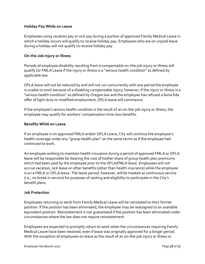#### **Holiday Pay While on Leave**

Employees using vacation pay or sick pay during a portion of approved Family Medical Leave in which a holiday occurs will qualify to receive holiday pay. Employees who are on unpaid leave during a holiday will not qualify to receive holiday pay.

#### **On-the-Job Injury or Illness**

Periods of employee disability resulting from a compensable on-the-job injury or illness will qualify for FMLA Leave if the injury or illness is a "serious health condition" as defined by applicable law.

OFLA leave will not be reduced by and will not run concurrently with any period the employee is unable to work because of a disabling compensable injury; however, if the injury or illness is a "serious health condition" as defined by Oregon law and the employee has refused a bona fide offer of light-duty or modified employment, OFLA leave will commence.

If the employee's serious health condition is the result of an on-the-job injury or illness, the employee may qualify for workers' compensation time-loss benefits.

#### **Benefits While on Leave**

If an employee is on approved FMLA and/or OFLA Leave, City will continue the employee's health coverage under any "group health plan" on the same terms as if the employee had continued to work.

An employee wishing to maintain health insurance during a period of approved FMLA or OFLA leave will be responsible for bearing the cost of his/her share of group health plan premiums which had been paid by the employee prior to the OFLA/FMLA leave. Employees will not accrue vacation, sick leave or other benefits (other than health insurance) while the employee is on a FMLA or OFLA leave. The leave period, however, will be treated as continuous service (i.e., no break in service) for purposes of vesting and eligibility to participate in the City's benefit plans.

### **Job Protection**

Employees returning to work from Family Medical Leave will be reinstated to their former position. If the position has been eliminated, the employee may be reassigned to an available equivalent position. Reinstatement is not guaranteed if the position has been eliminated under circumstances where the law does not require reinstatement.

Employees are expected to promptly return to work when the circumstances requiring Family Medical Leave have been resolved, even if leave was originally approved for a longer period. With the exception of employees on leave as the result of an on-the-job injury or illness or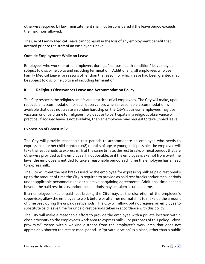otherwise required by law, reinstatement shall not be considered if the leave period exceeds the maximum allowed.

The use of Family Medical Leave cannot result in the loss of any employment benefit that accrued prior to the start of an employee's leave.

## **Outside Employment While on Leave**

Employees who work for other employers during a "serious health condition" leave may be subject to discipline up to and including termination. Additionally, all employees who use Family Medical Leave for reasons other than the reason for which leave had been granted may be subject to discipline up to and including termination.

## **K. Religious Observances Leave and Accommodation Policy**

The City respects the religious beliefs and practices of all employees. The City will make, upon request, an accommodation for such observances when a reasonable accommodation is available that does not create an undue hardship on the City's business. Employees may use vacation or unpaid time for religious holy days or to participate in a religious observance or practice; if accrued leave is not available, then an employee may request to take unpaid leave.

### **Expression of Breast Milk**

The City will provide reasonable rest periods to accommodate an employee who needs to express milk for her child eighteen (18) months of age or younger. If possible, the employee will take the rest periods to express milk at the same time as the rest breaks or meal periods that are otherwise provided to the employee. If not possible, or if the employee is exempt from overtime laws, the employee is entitled to take a reasonable period each time the employee has a need to express milk.

The City will treat the rest breaks used by the employee for expressing milk as paid rest breaks up to the amount of time the City is required to provide as paid rest breaks and/or meal periods under applicable personnel rules or collective bargaining agreements. Additional time needed beyond the paid rest breaks and/or meal periods may be taken as unpaid time.

If an employee takes unpaid rest breaks, the City may, at the discretion of the employee's supervisor, allow the employee to work before or after her normal shift to make up the amount of time used during the unpaid rest periods. The City will allow, but not require, an employee to substitute paid leave time for unpaid rest periods taken in accordance with this policy.

The City will make a reasonable effort to provide the employee with a private location within close proximity to the employee's work area to express milk. For purposes of this policy, "close proximity" means within walking distance from the employee's work area that does not appreciably shorten the rest or meal period. A "private location" is a place, other than a public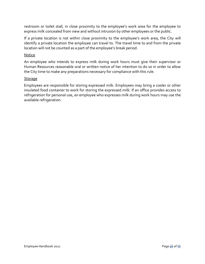restroom or toilet stall, in close proximity to the employee's work area for the employee to express milk concealed from view and without intrusion by other employees or the public.

If a private location is not within close proximity to the employee's work area, the City will identify a private location the employee can travel to. The travel time to and from the private location will not be counted as a part of the employee's break period.

#### Notice

An employee who intends to express milk during work hours must give their supervisor or Human Resources reasonable oral or written notice of her intention to do so in order to allow the City time to make any preparations necessary for compliance with this rule.

#### **Storage**

Employees are responsible for storing expressed milk. Employees may bring a cooler or other insulated food container to work for storing the expressed milk. If an office provides access to refrigeration for personal use, an employee who expresses milk during work hours may use the available refrigeration.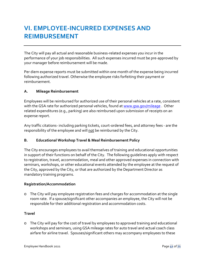# **VI. EMPLOYEE-INCURRED EXPENSES AND REIMBURSEMENT**

The City will pay all actual and reasonable business-related expenses you incur in the performance of your job responsibilities. All such expenses incurred must be pre-approved by your manager before reimbursement will be made.

Per diem expense reports must be submitted within one month of the expense being incurred following authorized travel. Otherwise the employee risks forfeiting their payment or reimbursement.

### **A. Mileage Reimbursement**

Employees will be reimbursed for authorized use of their personal vehicles at a rate, consistent with the GSA rate for authorized personal vehicles, found at [www.gsa.gov/mileage](http://www.gsa.gov/mileage) . Other related expenditures (e.g., parking) are also reimbursed upon submission of receipts on an expense report.

Any traffic citations- including parking tickets, court-ordered fees, and attorney fees - are the responsibility of the employee and will not be reimbursed by the City.

### **B. Educational Workshop Travel & Meal Reimbursement Policy**

The City encourages employees to avail themselves of training and educational opportunities in support of their functions on behalf of the City. The following guidelines apply with respect to registration, travel, accommodation, meal and other approved expenses in connection with seminars, workshops, or other educational events attended by the employee at the request of the City, approved by the City, or that are authorized by the Department Director as mandatory training programs.

### **Registration/Accommodation**

o The City will pay employee registration fees and charges for accommodation at the single room rate. If a spouse/significant other accompanies an employee, the City will not be responsible for their additional registration and accommodation costs.

#### **Travel**

o The City will pay for the cost of travel by employees to approved training and educational workshops and seminars, using GSA mileage rates for auto travel and actual coach class airfare for airline travel. Spouses/significant others may accompany employees to these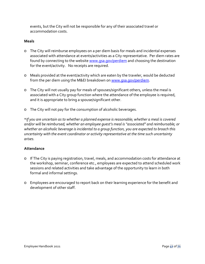events, but the City will not be responsible for any of their associated travel or accommodation costs.

#### **Meals**

- o The City will reimburse employees on a per diem basis for meals and incidental expenses associated with attendance at events/activities as a City representative. Per diem rates are found by connecting to the website [www.gsa.gov/perdiem](http://www.gsa.gov/perdiem) and choosing the destination for the event/activity. No receipts are required.
- o Meals provided at the event/activity which are eaten by the traveler, would be deducted from the per diem using the M&EI breakdown on [www.gsa.gov/perdiem.](http://www.gsa.gov/perdiem)
- o The City will not usually pay for meals of spouses/significant others, unless the meal is associated with a City group function where the attendance of the employee is required, and it is appropriate to bring a spouse/significant other.
- o The City will not pay for the consumption of alcoholic beverages.

\**If you are uncertain as to whether a planned expense is reasonable; whether a meal is covered and/or will be reimbursed; whether an employee guest's meal is "associated" and reimbursable; or whether an alcoholic beverage is incidental to a group function, you are expected to broach this uncertainty with the event coordinator or activity representative at the time such uncertainty arises.*

#### **Attendance**

- o If The City is paying registration, travel, meals, and accommodation costs for attendance at the workshop, seminar, conference etc., employees are expected to attend scheduled work sessions and related activities and take advantage of the opportunity to learn in both formal and informal settings.
- o Employees are encouraged to report back on their learning experience for the benefit and development of other staff.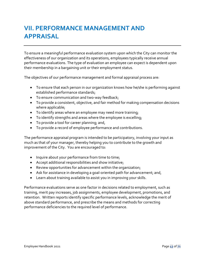# **VII. PERFORMANCE MANAGEMENT AND APPRAISAL**

To ensure a meaningful performance evaluation system upon which the City can monitor the effectiveness of our organization and its operations, employees typically receive annual performance evaluations. The type of evaluation an employee can expect is dependent upon their membership in a bargaining unit or their employment status.

The objectives of our performance management and formal appraisal process are:

- To ensure that each person in our organization knows how he/she is performing against established performance standards;
- To ensure communication and two-way feedback;
- To provide a consistent, objective, and fair method for making compensation decisions where applicable;
- To identify areas where an employee may need more training;
- To identify strengths and areas where the employee is excelling;
- To provide a tool for career planning; and,
- To provide a record of employee performance and contributions.

The performance appraisal program is intended to be participatory, involving your input as much as that of your manager, thereby helping you to contribute to the growth and improvement of the City. You are encouraged to:

- Inquire about your performance from time to time;
- Accept additional responsibilities and show initiative;
- Review opportunities for advancement within the organization;
- Ask for assistance in developing a goal-oriented path for advancement; and,
- Learn about training available to assist you in improving your skills.

Performance evaluations serve as one factor in decisions related to employment, such as training, merit pay increases, job assignments, employee development, promotions, and retention. Written reports identify specific performance levels, acknowledge the merit of above standard performance, and prescribe the means and methods for correcting performance deficiencies to the required level of performance.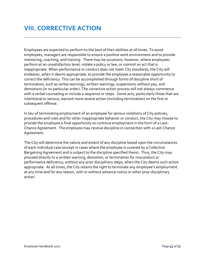# **VIII. CORRECTIVE ACTION**

Employees are expected to perform to the best of their abilities at all times. To assist employees, managers are responsible to ensure a positive work environment and to provide mentoring, coaching, and training. There may be occasions, however, where employees perform at an unsatisfactory level, violate a policy or law, or commit an act that is inappropriate. When performance or conduct does not meet City standards, the City will endeavor, when it deems appropriate, to provide the employee a reasonable opportunity to correct the deficiency. This can be accomplished through forms of discipline short of termination, such as verbal warnings, written warnings, suspensions without pay, and demotions (in no particular order). The corrective action process will not always commence with a verbal counseling or include a sequence or steps. Some acts, particularly those that are intentional or serious, warrant more severe action (including termination) on the first or subsequent offense.

In lieu of terminating employment of an employee for serious violations of City policies, procedures and rules and for other inappropriate behavior or conduct, the City may choose to provide the employee a final opportunity to continue employment in the form of a Last-Chance Agreement. The employee may receive discipline in connection with a Last-Chance Agreement.

The City will determine the nature and extent of any discipline based upon the circumstances of each individual case (except in cases where the employee is covered by a Collective Bargaining Agreement and is subject to the discipline specified there). Thus, the City may proceed directly to a written warning, demotion, or termination for misconduct or performance deficiency, without any prior disciplinary steps, when the City deems such action appropriate. At all times, the City retains the right to terminate any employee's employment at any time and for any reason, with or without advance notice or other prior disciplinary action.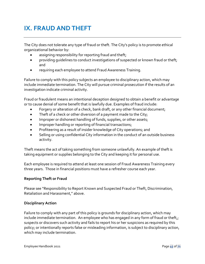# **IX. FRAUD AND THEFT**

The City does not tolerate any type of fraud or theft. The City's policy is to promote ethical organizational behavior by:

- assigning responsibility for reporting fraud and theft;
- providing quidelines to conduct investigations of suspected or known fraud or theft; and
- requiring each employee to attend Fraud Awareness Training.

Failure to comply with this policy subjects an employee to disciplinary action, which may include immediate termination. The City will pursue criminal prosecution if the results of an investigation indicate criminal activity.

Fraud or fraudulent means an intentional deception designed to obtain a benefit or advantage or to cause denial of some benefit that is lawfully due. Examples of fraud include:

- Forgery or alteration of a check, bank draft, or any other financial document;
- Theft of a check or other diversion of a payment made to the City;
- Improper or dishonest handling of funds, supplies, or other assets;
- Improper handling or reporting of financial transactions;
- Profiteering as a result of insider knowledge of City operations; and
- Selling or using confidential City information in the conduct of an outside business activity.

Theft means the act of taking something from someone unlawfully. An example of theft is taking equipment or supplies belonging to the City and keeping it for personal use.

Each employee is required to attend at least one session of Fraud Awareness Training every three years. Those in financial positions must have a refresher course each year.

### **Reporting Theft or Fraud**

Please see "Responsibility to Report Known and Suspected Fraud or Theft, Discrimination, Retaliation and Harassment," above.

### **Disciplinary Action**

Failure to comply with any part of this policy is grounds for disciplinary action, which may include immediate termination. An employee who has engaged in any form of fraud or theft, suspects or discovers such activity and fails to report his or her suspicions as required by this policy; or intentionally reports false or misleading information, is subject to disciplinary action, which may include termination.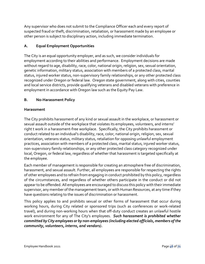Any supervisor who does not submit to the Compliance Officer each and every report of suspected fraud or theft, discrimination, retaliation, or harassment made by an employee or other person is subject to disciplinary action, including immediate termination.

## **A. Equal Employment Opportunities**

The City is an equal opportunity employer, and as such, we consider individuals for employment according to their abilities and performance. Employment decisions are made without regard to age, disability, race, color, national origin, religion, sex, sexual orientation, genetic information, military status, association with members of a protected class, marital status, injured worker status, non-supervisory family relationships, or any other protected class recognized under Oregon or federal law. Oregon state government, along with cities, counties and local service districts, provide qualifying veterans and disabled veterans with preference in employment in accordance with Oregon law such as the Equity Pay Law.

## **B. No-Harassment Policy**

## **Harassment**

The City prohibits harassment of any kind or sexual assault in the workplace, or harassment or sexual assault outside of the workplace that violates its employees, volunteers, and interns' right t work in a harassment-free workplace. Specifically, the City prohibits harassment or conduct related to an individual's disability, race, color, national origin, religion, sex, sexual orientation, veterans status, military status, retaliation for opposing unlawful employment practices, association with members of a protected class, marital status, injured worker status, non-supervisory family relationships, or any other protected class category recognized under local, Oregon, or federal law, regardless of whether that harassment is targeted specifically at the employee.

Each member of management is responsible for creating an atmosphere free of discrimination, harassment, and sexual assault. Further, all employees are responsible for respecting the rights of other employees and to refrain from engaging in conduct prohibited by this policy, regardless of the circumstances, and regardless of whether others participate in the conduct or did not appear to be offended. All employees are encouraged to discuss this policy with their immediate supervisor, any member of the management team, or with Human Resources, at any time if they have questions relating to the issues of discrimination or harassment.

This policy applies to and prohibits sexual or other forms of harassment that occur during working hours, during City related or sponsored trips (such as conferences or work-related travel), and during non-working hours when that off-duty conduct creates an unlawful hostile work environment for any of The City's employees. *Such harassment is prohibited whether committed by City employees or by non-employees (including elected officials, members of the community, volunteers, interns, and vendors).*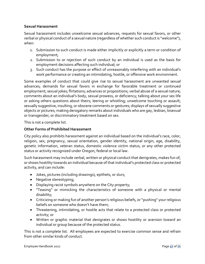### **Sexual Harassment**

Sexual harassment includes unwelcome sexual advances, requests for sexual favors, or other verbal or physical conduct of a sexual nature (regardless of whether such conduct is "welcome"), when:

- 1. Submission to such conduct is made either implicitly or explicitly a term or condition of employment;
- 2. Submission to or rejection of such conduct by an individual is used as the basis for employment decisions affecting such individual; or
- 3. Such conduct has the purpose or effect of unreasonably interfering with an individual's work performance or creating an intimidating, hostile, or offensive work environment.

Some examples of conduct that could give rise to sexual harassment are unwanted sexual advances; demands for sexual favors in exchange for favorable treatment or continued employment; sexual jokes; flirtations; advances or propositions; verbal abuse of a sexual nature; comments about an individual's body, sexual prowess, or deficiency; talking about your sex life or asking others questions about theirs; leering or whistling; unwelcome touching or assault; sexually suggestive, insulting, or obscene comments or gestures; displays of sexually suggestive objects or pictures; making derogatory remarks about individuals who are gay, lesbian, bisexual or transgender; or discriminatory treatment based on sex.

This is not a complete list.

### **Other Forms of Prohibited Harassment**

City policy also prohibits harassment against an individual based on the individual's race, color, religion, sex, pregnancy, sexual orientation, gender identity, national origin, age, disability, genetic information, veteran status, domestic violence victim status, or any other protected status or activity recognized under Oregon, federal or local law.

Such harassment may include verbal, written or physical conduct that denigrates, makes fun of, or shows hostility towards an individual because of that individual's protected class or protected activity, and can include:

- Jokes, pictures (including drawings), epithets, or slurs;
- Negative stereotyping;
- Displaying racist symbols anywhere on the City property;
- "Teasing" or mimicking the characteristics of someone with a physical or mental disability;
- Criticizing or making fun of another person's religious beliefs, or "pushing" your religious beliefs on someone who doesn't have them;
- Threatening, intimidating, or hostile acts that relate to a protected class or protected activity; or
- Written or graphic material that denigrates or shows hostility or aversion toward an individual or group because of the protected status.

This is not a complete list. All employees are expected to exercise common sense and refrain from other similar kinds of conduct.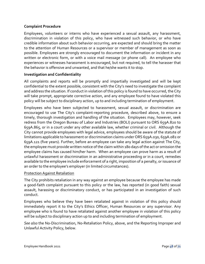### **Complaint Procedure**

Employees, volunteers or interns who have experienced a sexual assault, any harassment, discrimination in violation of this policy, who have witnessed such behavior, or who have credible information about such behavior occurring, are expected and should bring the matter to the attention of Human Resources or a supervisor or member of management as soon as possible. Employees are strongly encouraged to document the information or incident in any written or electronic form, or with a voice mail message (or phone call). An employee who experiences or witnesses harassment is encouraged, but not required, to tell the harasser that the behavior is offensive and unwanted, and that he/she wants it to stop.

#### **Investigation and Confidentiality**

All complaints and reports will be promptly and impartially investigated and will be kept confidential to the extent possible, consistent with the City's need to investigate the complaint and address the situation. If conduct in violation of this policy is found to have occurred, the City will take prompt, appropriate corrective action, and any employee found to have violated this policy will be subject to disciplinary action, up to and including termination of employment.

Employees who have been subjected to harassment, sexual assault, or discrimination are encouraged to use The City's complaint-reporting procedure, described above, to ensure a timely, thorough investigation and handling of the situation. Employees may, however, seek redress from the Oregon Bureau of Labor and Industries (BOLI) pursuant to ORS 659A.820 to 659A.865, or in a court under any other available law, whether criminal or civil. Although the City cannot provide employees with legal advice, employees should be aware of the statute of limitations applicable to harassment or discrimination claims under ORS 659A.030, 659A.082 or 659A.121 (five years). Further, before an employee can take any legal action against The City, the employee must provide written notice of the claim within 180 days of the act or omission the employee claims has caused him/her harm. When an employee can prove harm as a result of unlawful harassment or discrimination in an administrative proceeding or in a court, remedies available to the employee include enforcement of a right, imposition of a penalty, or issuance of an order to the employee's employer (in limited circumstances).

#### Protection Against Retaliation

The City prohibits retaliation in any way against an employee because the employee has made a good-faith complaint pursuant to this policy or the law, has reported (in good faith) sexual assault, harassing or discriminatory conduct, or has participated in an investigation of such conduct.

Employees who believe they have been retaliated against in violation of this policy should immediately report it to the City's Ethics Officer, Human Resources or any supervisor. Any employee who is found to have retaliated against another employee in violation of this policy will be subject to disciplinary action up to and including termination of employment.

*See also* the No-Discrimination, No-Retaliation Policy, above, and the Reporting Improper and Unlawful Activity Policy, below.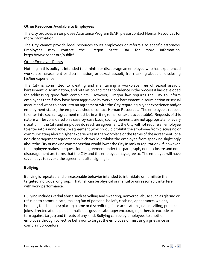#### **Other Resources Available to Employees**

The City provides an Employee Assistance Program (EAP) please contact Human Resources for more information.

The City cannot provide legal resources to its employees or referrals to specific attorneys. Employees may contact the Oregon State Bar for more information: https://www.osbar.org/public/.

#### Other Employee Rights

Nothing in this policy is intended to diminish or discourage an employee who has experienced workplace harassment or discrimination, or sexual assault, from talking about or disclosing his/her experience.

The City is committed to creating and maintaining a workplace free of sexual assault, harassment, discrimination, and retaliation and it has confidence in the process it has developed for addressing good-faith complaints. However, Oregon law requires the City to inform employees that if they have been aggrieved by workplace harassment, discrimination or sexual assault and want to enter into an agreement with the City regarding his/her experience and/or employment status, the employee should contact Human Resources. The employee's request to enter into such an agreement must be in writing (email or text is acceptable). Requests of this nature will be considered on a case-by-case basis; such agreements are not appropriate for every situation. If the City and employee do reach an agreement, the City will not require an employee to enter into a nondisclosure agreement (which would prohibit the employee from discussing or communicating about his/her experiences in the workplace or the terms of the agreement) or a non-disparagement agreement (which would prohibit the employee from speaking slightingly about the City or making comments that would lower the City in rank or reputation). If, however, the employee makes a request for an agreement under this paragraph, nondisclosure and nondisparagement are terms that the City and the employee may agree to. The employee will have seven days to revoke the agreement after signing it.

### **Bullying**

Bullying is repeated and unreasonable behavior intended to intimidate or humiliate the targeted individual or group. That risk can be physical or mental or unreasonably interfere with work performance.

Bullying includes verbal abuse such as yelling and swearing; nonverbal abuse such as glaring or refusing to communicate; making fun of personal beliefs, clothing, appearance, weight, hobbies, food choices; placing blame or discrediting, false accusations; name calling; practical jokes directed at one person; malicious gossip; sabotage; encouraging others to exclude or turn against target; and threats of any kind. Bullying can be by employees to another employee through collective behavior to target the employee or misusing a grievance or complaint procedure.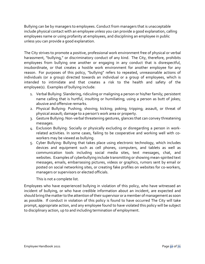Bullying can be by managers to employees. Conduct from managers that is unacceptable include physical contact with an employee unless you can provide a good explanation, calling employees name or using profanity at employees, and disciplining an employee in public unless you can provide a good explanation.

The City strives to promote a positive, professional work environment free of physical or verbal harassment, "bullying," or discriminatory conduct of any kind. The City, therefore, prohibits employees from bullying one another or engaging in any conduct that is disrespectful, insubordinate, or that creates a hostile work environment for another employee for any reason. For purposes of this policy, "bullying" refers to repeated, unreasonable actions of individuals (or a group) directed towards an individual or a group of employees, which is intended to intimidate and that creates a risk to the health and safety of the employee(s). Examples of bullying include:

- 1. Verbal Bullying: Slandering, ridiculing or maligning a person or his/her family; persistent name calling that is hurtful, insulting or humiliating; using a person as butt of jokes; abusive and offensive remarks.
- 2. Physical Bullying: Pushing; shoving; kicking; poking; tripping; assault, or threat of physical assault; damage to a person's work area or property.
- 3. Gesture Bullying: Non-verbal threatening gestures, glances that can convey threatening messages.
- 4. Exclusion Bullying: Socially or physically excluding or disregarding a person in workrelated activities. In some cases, failing to be cooperative and working well with coworkers may be viewed as bullying.
- 5. Cyber Bullying: Bullying that takes place using electronic technology, which includes devices and equipment such as cell phones, computers, and tablets as well as communication tools including social media sites, text messages, chat, and websites. Examples of cyberbullying include transmitting or showing mean-spirited text messages, emails, embarrassing pictures, videos or graphics, rumors sent by email or posted on social networking sites, or creating fake profiles on websites for co-workers, managers or supervisors or elected officials.

This is not a complete list.

Employees who have experienced bullying in violation of this policy, who have witnessed an incident of bullying, or who have credible information about an incident, are expected and should bring the matter to the attention of their supervisor or a member of management as soon as possible. If conduct in violation of this policy is found to have occurred The City will take prompt, appropriate action, and any employee found to have violated this policy will be subject to disciplinary action, up to and including termination of employment.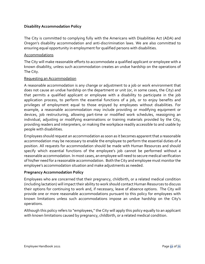### **Disability Accommodation Policy**

The City is committed to complying fully with the Americans with Disabilities Act (ADA) and Oregon's disability accommodation and anti-discrimination laws. We are also committed to ensuring equal opportunity in employment for qualified persons with disabilities.

#### Accommodations

The City will make reasonable efforts to accommodate a qualified applicant or employee with a known disability, unless such accommodation creates an undue hardship on the operations of The City.

#### Requesting an Accommodation

A reasonable accommodation is any change or adjustment to a job or work environment that does not cause an undue hardship on the department or unit (or, in some cases, the City) and that permits a qualified applicant or employee with a disability to participate in the job application process, to perform the essential functions of a job, or to enjoy benefits and privileges of employment equal to those enjoyed by employees without disabilities. For example, a reasonable accommodation may include providing or modifying equipment or devices, job restructuring, allowing part-time or modified work schedules, reassigning an individual, adjusting or modifying examinations or training materials provided by the City, providing readers and interpreters, or making the workplace readily accessible to and usable by people with disabilities.

Employees should request an accommodation as soon as it becomes apparent that a reasonable accommodation may be necessary to enable the employee to perform the essential duties of a position. All requests for accommodation should be made with Human Resources and should specify which essential functions of the employee's job cannot be performed without a reasonable accommodation. In most cases, an employee will need to secure medical verification of his/her need for a reasonable accommodation. Both the City and employee must monitor the employee's accommodation situation and make adjustments as needed.

### **Pregnancy Accommodation Policy**

Employees who are concerned that their pregnancy, childbirth, or a related medical condition (including lactation) will impact their ability to work should contact Human Resources to discuss their options for continuing to work and, if necessary, leave of absence options. The City will provide one or more reasonable accommodations pursuant to this policy for employees with known limitations unless such accommodations impose an undue hardship on the City's operations.

Although this policy refers to "employees," the City will apply this policy equally to an applicant with known limitations caused by pregnancy, childbirth, or a related medical condition.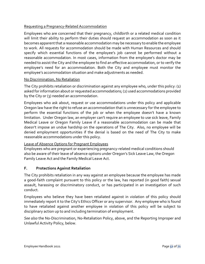## Requesting a Pregnancy-Related Accommodation

Employees who are concerned that their pregnancy, childbirth or a related medical condition will limit their ability to perform their duties should request an accommodation as soon as it becomes apparent that a reasonable accommodation may be necessary to enable the employee to work. All requests for accommodation should be made with Human Resources and should specify which essential functions of the employee's job cannot be performed without a reasonable accommodation. In most cases, information from the employee's doctor may be needed to assist the City and the employee to find an effective accommodation, or to verify the employee's need for an accommodation. Both the City and employee must monitor the employee's accommodation situation and make adjustments as needed.

#### No Discrimination, No Retaliation

The City prohibits retaliation or discrimination against any employee who, under this policy: (1) asked for information about or requested accommodations; (2) used accommodations provided by the City or (3) needed an accommodation.

Employees who ask about, request or use accommodations under this policy and applicable Oregon law have the right to refuse an accommodation that is unnecessary for the employee to perform the essential functions of the job or when the employee doesn't have a known limitation. Under Oregon law, an employer can't require an employee to use sick leave, Family Medical Leave or Oregon Family Leave if a reasonable accommodation can be made that doesn't impose an undue hardship on the operations of The City. Also, no employee will be denied employment opportunities if the denial is based on the need of The City to make reasonable accommodations under this policy.

### Leave of Absence Options for Pregnant Employees

Employees who are pregnant or experiencing pregnancy-related medical conditions should also be aware of their leave of absence options under Oregon's Sick Leave Law, the Oregon Family Leave Act and the Family Medical Leave Act.

### **F. Protections Against Retaliation**

The City prohibits retaliation in any way against an employee because the employee has made a good-faith complaint pursuant to this policy or the law, has reported (in good faith) sexual assault, harassing or discriminatory conduct, or has participated in an investigation of such conduct.

Employees who believe they have been retaliated against in violation of this policy should immediately report it to the City's Ethics Officer or any supervisor. Any employee who is found to have retaliated against another employee in violation of this policy will be subject to disciplinary action up to and including termination of employment.

*See also* the No-Discrimination, No-Retaliation Policy, above, and the Reporting Improper and Unlawful Activity Policy, below.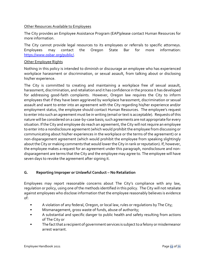#### Other Resources Available to Employees

The City provides an Employee Assistance Program (EAP)please contact Human Resources for more information.

The City cannot provide legal resources to its employees or referrals to specific attorneys. Employees may contact the Oregon State Bar for more information: [https://www.osbar.org/public/.](https://www.osbar.org/public/)

#### Other Employee Rights

Nothing in this policy is intended to diminish or discourage an employee who has experienced workplace harassment or discrimination, or sexual assault, from talking about or disclosing his/her experience.

The City is committed to creating and maintaining a workplace free of sexual assault, harassment, discrimination, and retaliation and it has confidence in the process it has developed for addressing good-faith complaints. However, Oregon law requires the City to inform employees that if they have been aggrieved by workplace harassment, discrimination or sexual assault and want to enter into an agreement with the City regarding his/her experience and/or employment status, the employee should contact Human Resources. The employee's request to enter into such an agreement must be in writing (email or text is acceptable). Requests of this nature will be considered on a case-by-case basis; such agreements are not appropriate for every situation. If the City and employee do reach an agreement, the City will not require an employee to enter into a nondisclosure agreement (which would prohibit the employee from discussing or communicating about his/her experiences in the workplace or the terms of the agreement) or a non-disparagement agreement (which would prohibit the employee from speaking slightingly about the City or making comments that would lower the City in rank or reputation). If, however, the employee makes a request for an agreement under this paragraph, nondisclosure and nondisparagement are terms that the City and the employee may agree to. The employee will have seven days to revoke the agreement after signing it.

### **G. Reporting Improper or Unlawful Conduct – No Retaliation**

Employees may report reasonable concerns about The City's compliance with any law, regulation or policy, using one of the methods identified in this policy. The City will not retaliate against employees who disclose information that the employee reasonably believes is evidence of:

- A violation of any federal, Oregon, or local law, rules or regulations by The City;
- Mismanagement, gross waste of funds, abuse of authority;
- A substantial and specific danger to public health and safety resulting from actions of The City or
- The fact that a recipient of government services is subject to a felony or misdemeanor arrest warrant.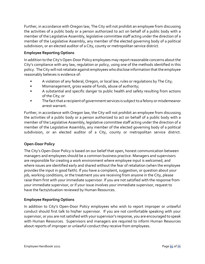Further, in accordance with Oregon law, The City will not prohibit an employee from discussing the activities of a public body or a person authorized to act on behalf of a public body with a member of the Legislative Assembly, legislative committee staff acting under the direction of a member of the Legislative Assembly, any member of the elected governing body of a political subdivision, or an elected auditor of a City, county or metropolitan service district.

## **Employee Reporting Options**

In addition to the City's Open-Door Policy employees may report reasonable concerns about the City's compliance with any law, regulation or policy, using one of the methods identified in this policy. The City will not retaliate against employees who disclose information that the employee reasonably believes is evidence of:

- A violation of any federal, Oregon, or local law, rules or regulations by The City;
- Mismanagement, gross waste of funds, abuse of authority;
- A substantial and specific danger to public health and safety resulting from actions of the City; or
- The fact that a recipient of government services is subject to a felony or misdemeanor arrest warrant.

Further, in accordance with Oregon law, the City will not prohibit an employee from discussing the activities of a public body or a person authorized to act on behalf of a public body with a member of the Legislative Assembly, legislative committee staff acting under the direction of a member of the Legislative Assembly, any member of the elected governing body of a political subdivision, or an elected auditor of a City, county or metropolitan service district.

## **Open-Door Policy**

The City's Open-Door Policy is based on our belief that open, honest communication between managers and employees should be a common business practice. Managers and supervisors are responsible for creating a work environment where employee input is welcomed, and where issues are identified early and shared without the fear of retaliation (when the employee provides the input in good faith). If you have a complaint, suggestion, or question about your job, working conditions, or the treatment you are receiving from anyone in the City, please raise them first with your immediate supervisor. If you are not satisfied with the response from your immediate supervisor, or if your issue involves your immediate supervisor, request to have the facts/situation reviewed by Human Resources.

## **Employee Reporting Options**

In addition to City's Open-Door Policy employees who wish to report improper or unlawful conduct should first talk to his/her supervisor. If you are not comfortable speaking with your supervisor, or you are not satisfied with your supervisor's response, you are encouraged to speak with Human Resources. Supervisors and managers are required to inform Human Resources about reports of improper or unlawful conduct they receive from employees.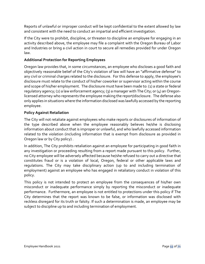Reports of unlawful or improper conduct will be kept confidential to the extent allowed by law and consistent with the need to conduct an impartial and efficient investigation.

If the City were to prohibit, discipline, or threaten to discipline an employee for engaging in an activity described above, the employee may file a complaint with the Oregon Bureau of Labor and Industries or bring a civil action in court to secure all remedies provided for under Oregon law.

## **Additional Protection for Reporting Employees**

Oregon law provides that, in some circumstances, an employee who discloses a good faith and objectively reasonable belief of the City's violation of law will have an "affirmative defense" to any civil or criminal charges related to the disclosure. For this defense to apply, the employee's disclosure must relate to the conduct of his/her coworker or supervisor acting within the course and scope of his/her employment. The disclosure must have been made to: (1) a state or federal regulatory agency; (2) a law enforcement agency; (3) a manager with The City; or (4) an Oregonlicensed attorney who represents the employee making the report/disclosure. The defense also only applies in situations where the information disclosed was lawfully accessed by the reporting employee.

## **Policy Against Retaliation**

The City will not retaliate against employees who make reports or disclosures of information of the type described above when the employee reasonably believes he/she is disclosing information about conduct that is improper or unlawful, and who lawfully accessed information related to the violation (including information that is exempt from disclosure as provided in Oregon law or by City policy) .

In addition, The City prohibits retaliation against an employee for participating in good faith in any investigation or proceeding resulting from a report made pursuant to this policy. Further, no City employee will be adversely affected because he/she refused to carry out a directive that constitutes fraud or is a violation of local, Oregon, federal or other applicable laws and regulations. The City may take disciplinary action (up to and including termination of employment) against an employee who has engaged in retaliatory conduct in violation of this policy.

This policy is not intended to protect an employee from the consequences of his/her own misconduct or inadequate performance simply by reporting the misconduct or inadequate performance. Furthermore, an employee is not entitled to protections under this policy if The City determines that the report was known to be false, or information was disclosed with reckless disregard for its truth or falsity. If such a determination is made, an employee may be subject to discipline up to and including termination of employment.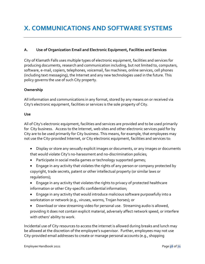## **A. Use of Organization Email and Electronic Equipment, Facilities and Services**

City of Klamath Falls uses multiple types of electronic equipment, facilities and services for producing documents, research and communication including, but not limited to, computers, software, e-mail, copiers, telephones, voicemail, fax machines, online services, cell phones (including text messaging), the Internet and any new technologies used in the future. This policy governs the use of such City property.

#### **Ownership**

All information and communications in any format, stored by any means on or received via City's electronic equipment, facilities or services is the sole property of City.

#### **Use**

All of City's electronic equipment, facilities and services are provided and to be used primarily for City business. Access to the Internet, web sites and other electronic services paid for by City are to be used primarily for City business. This means, for example, that employees may not use the City-provided Internet, or City electronic equipment, facilities and services to:

- Display or store any sexually explicit images or documents, or any images or documents that would violate City's no-harassment and no-discrimination policies;
- Participate in social media games or technology supported games;
- Engage in any activity that violates the rights of any person or company protected by copyright, trade secrets, patent or other intellectual property (or similar laws or regulations);
- Engage in any activity that violates the rights to privacy of protected healthcare information or other City-specific confidential information;
- Engage in any activity that would introduce malicious software purposefully into a workstation or network (e.g., viruses, worms, Trojan horses); or
- Download or view streaming video for personal use. Streaming audio is allowed, providing it does not contain explicit material, adversely affect network speed, or interfere with others' ability to work.

Incidental use of City resources to access the internet is allowed during breaks and lunch may be allowed at the discretion of the employee's supervisor. Further, employees may not use City-provided email addresses to create or manage personal accounts (e.g., shopping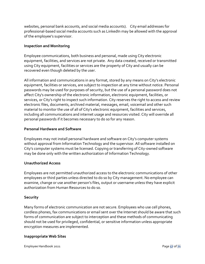websites, personal bank accounts, and social media accounts). City email addresses for professional-based social media accounts such as LinkedIn may be allowed with the approval of the employee's supervisor.

### **Inspection and Monitoring**

Employee communications, both business and personal, made using City electronic equipment, facilities, and services are not private. Any data created, received or transmitted using City equipment, facilities or services are the property of City and usually can be recovered even though deleted by the user.

All information and communications in any format, stored by any means on City's electronic equipment, facilities or services, are subject to inspection at any time without notice. Personal passwords may be used for purposes of security, but the use of a personal password does not affect City's ownership of the electronic information, electronic equipment, facilities, or services, or City's right to inspect such information. City reserves the right to access and review electronic files, documents, archived material, messages, email, voicemail and other such material to monitor the use of all of City's electronic equipment, facilities and services, including all communications and internet usage and resources visited. City will override all personal passwords if it becomes necessary to do so for any reason.

### **Personal Hardware and Software**

Employees may not install personal hardware and software on City's computer systems without approval from Information Technology and the supervisor. All software installed on City's computer systems must be licensed. Copying or transferring of City-owned software may be done only with the written authorization of Information Technology.

### **Unauthorized Access**

Employees are not permitted unauthorized access to the electronic communications of other employees or third parties unless directed to do so by City management. No employee can examine, change or use another person's files, output or username unless they have explicit authorization from Human Resources to do so.

### **Security**

Many forms of electronic communication are not secure. Employees who use cell phones, cordless phones, fax communications or email sent over the Internet should be aware that such forms of communication are subject to interception and these methods of communicating should not be used for privileged, confidential, or sensitive information unless appropriate encryption measures are implemented.

### **Inappropriate Web Sites**

Employee Handbook 2021 Page **57** of **71**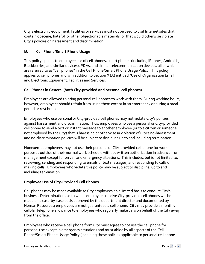City's electronic equipment, facilities or services must not be used to visit Internet sites that contain obscene, hateful, or other objectionable materials, or that would otherwise violate City's policies on harassment and discrimination.

## **B. Cell Phone/Smart Phone Usage**

This policy applies to employee use of cell phones, smart phones (including iPhones, Androids, Blackberries, and similar devices), PDAs, and similar telecommunication devices, all of which are referred to as "cell phones" in the Cell Phone/Smart Phone Usage Policy. This policy applies to cell phones and is in addition to Section X (A) entitled "Use of Organization Email and Electronic Equipment, Facilities and Services."

## **Cell Phones in General (both City-provided and personal cell phones)**

Employees are allowed to bring personal cell phones to work with them. During working hours, however, employees should refrain from using them except in an emergency or during a meal period or rest break.

Employees who use personal or City-provided cell phones may not violate City's policies against harassment and discrimination. Thus, employees who use a personal or City-provided cell phone to send a text or instant message to another employee (or to a citizen or someone not employed by the City) that is harassing or otherwise in violation of City's no-harassment and no-discrimination policies will be subject to discipline up to and including termination.

Nonexempt employees may not use their personal or City-provided cell phone for work purposes outside of their normal work schedule without written authorization in advance from management except for on call and emergency situations. This includes, but is not limited to, reviewing, sending and responding to emails or text messages, and responding to calls or making calls. Employees who violate this policy may be subject to discipline, up to and including termination.

### **Employee Use of City-Provided Cell Phones**

Cell phones may be made available to City employees on a limited basis to conduct City's business. Determinations as to which employees receive City-provided cell phones will be made on a case-by-case basis approved by the department director and documented by Human Resources; employees are not guaranteed a cell phone. City may provide a monthly cellular telephone allowance to employees who regularly make calls on behalf of the City away from the office.

Employees who receive a cell phone from City must agree to not use the cell phone for personal use except in emergency situations and must abide by all aspects of the Cell Phone/Smart Phone Usage Policy (including those policies applicable to personal cell phone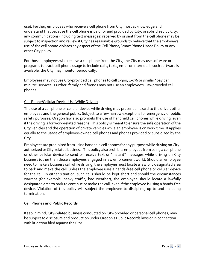use). Further, employees who receive a cell phone from City must acknowledge and understand that because the cell phone is paid for and provided by City, or subsidized by City, any communications (including text messages) received by or sent from the cell phone may be subject to inspection and review if City has reasonable grounds to believe that the employee's use of the cell phone violates any aspect of the Cell Phone/Smart Phone Usage Policy or any other City policy.

For those employees who receive a cell phone from the City, the City may use software or programs to track cell phone usage to include calls, texts, email or internet. If such software is available, the City may monitor periodically.

Employees may not use City-provided cell phones to call 1-900, 1-976 or similar "pay per minute" services. Further, family and friends may not use an employee's City-provided cell phones.

## Cell Phone/Cellular Device Use While Driving

The use of a cell phone or cellular device while driving may present a hazard to the driver, other employees and the general public. Subject to a few narrow exceptions for emergency or public safety purposes, Oregon law also prohibits the use of handheld cell phones while driving, even if the driving is for work-related reasons. This policy is meant to ensure the safe operation of the City vehicles and the operation of private vehicles while an employee is on work time. It applies equally to the usage of employee-owned cell phones and phones provided or subsidized by the City.

Employees are prohibited from using handheld cell phones for any purpose while driving on Cityauthorized or City-related business. This policy also prohibits employees from using a cell phone or other cellular device to send or receive text or "instant" messages while driving on City business (other than those employees engaged in law enforcement work). Should an employee need to make a business call while driving, the employee must locate a lawfully designated area to park and make the call, unless the employee uses a hands-free cell phone or cellular device for the call. In either situation, such calls should be kept short and should the circumstances warrant (for example, heavy traffic, bad weather), the employee should locate a lawfully designated area to park to continue or make the call, even if the employee is using a hands-free device. Violation of this policy will subject the employee to discipline, up to and including termination.

### **Cell Phones and Public Records**

Keep in mind, City-related business conducted on City-provided or personal cell phones, may be subject to disclosure and production under Oregon's Public Records laws or in connection with litigation filed against the City.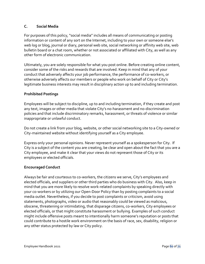## **C. Social Media**

For purposes of this policy, "social media" includes all means of communicating or posting information or content of any sort on the Internet, including to your own or someone else's web log or blog, journal or diary, personal web site, social networking or affinity web site, web bulletin board or a chat room, whether or not associated or affiliated with City, as well as any other form of electronic communication.

Ultimately, you are solely responsible for what you post online. Before creating online content, consider some of the risks and rewards that are involved. Keep in mind that any of your conduct that adversely affects your job performance, the performance of co-workers, or otherwise adversely affects our members or people who work on behalf of City or City's legitimate business interests may result in disciplinary action up to and including termination.

### **Prohibited Postings**

Employees will be subject to discipline, up to and including termination, if they create and post any text, images or other media that violate City's no-harassment and no-discrimination policies and that include discriminatory remarks, harassment, or threats of violence or similar inappropriate or unlawful conduct.

Do not create a link from your blog, website, or other social networking site to a City-owned or City-maintained website without identifying yourself as a City employee.

Express only your personal opinions. Never represent yourself as a spokesperson for City. If City is a subject of the content you are creating, be clear and open about the fact that you are a City employee, and make it clear that your views do not represent those of City or its employees or elected officials.

### **Encouraged Conduct**

Always be fair and courteous to co-workers, the citizens we serve, City's employees and elected officials, and suppliers or other third parties who do business with City. Also, keep in mind that you are more likely to resolve work-related complaints by speaking directly with your co-workers or by utilizing our Open-Door Policy than by posting complaints to a social media outlet. Nevertheless, if you decide to post complaints or criticism, avoid using statements, photographs, video or audio that reasonably could be viewed as malicious, obscene, threatening or intimidating, that disparage citizens, co-workers, City employees or elected officials, or that might constitute harassment or bullying. Examples of such conduct might include offensive posts meant to intentionally harm someone's reputation or posts that could contribute to a hostile work environment on the basis of race, sex, disability, religion or any other status protected by law or City policy.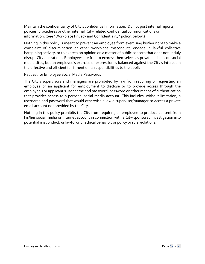Maintain the confidentiality of City's confidential information. Do not post internal reports, policies, procedures or other internal, City-related confidential communications or information. (See "Workplace Privacy and Confidentiality" policy, below.)

Nothing in this policy is meant to prevent an employee from exercising his/her right to make a complaint of discrimination or other workplace misconduct, engage in lawful collective bargaining activity, or to express an opinion on a matter of public concern that does not unduly disrupt City operations. Employees are free to express themselves as private citizens on social media sites, but an employee's exercise of expression is balanced against the City's interest in the effective and efficient fulfillment of its responsibilities to the public.

#### Request for Employee Social Media Passwords

The City's supervisors and managers are prohibited by law from requiring or requesting an employee or an applicant for employment to disclose or to provide access through the employee's or applicant's user name and password, password or other means of authentication that provides access to a personal social media account. This includes, without limitation, a username and password that would otherwise allow a supervisor/manager to access a private email account not provided by the City.

Nothing in this policy prohibits the City from requiring an employee to produce content from his/her social media or internet account in connection with a City-sponsored investigation into potential misconduct, unlawful or unethical behavior, or policy or rule violations.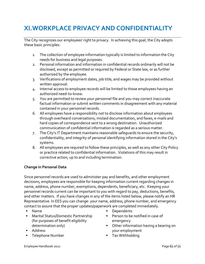# **XI.WORKPLACE PRIVACY AND CONFIDENTIALITY**

The City recognizes our employees' right to privacy. In achieving this goal, the City adopts these basic principles:

- 1. The collection of employee information typically is limited to information the City needs for business and legal purposes.
- 2. Personal information and information in confidential records ordinarily will not be disclosed, except as permitted or required by Federal or State law, or as further authorized by the employee.
- 3. Verifications of employment dates, job title, and wages may be provided without written approval.
- 4. Internal access to employee records will be limited to those employees having an authorized need-to-know.
- 5. You are permitted to review your personnel file and you may correct inaccurate factual information or submit written comments in disagreement with any material contained in your personnel records.
- 6. All employees have a responsibility not to disclose information about employees through overheard conversations, mislaid documentation, and faxes, e-mails and hard copies of correspondence sent to a wrong destination. Unauthorized communication of confidential information is regarded as a serious matter.
- 7. The City's IT Department maintains reasonable safeguards to ensure the security, confidentiality, and integrity of personal identifying information stored in the City's systems.
- 8. All employees are required to follow these principles, as well as any other City Policy or practice related to confidential information. Violations of this may result in corrective action, up to and including termination.

## **Change in Personal Data**

Since personnel records are used to administer pay and benefits, and other employment decisions, employees are responsible for keeping information current regarding changes in name, address, phone number, exemptions, dependents, beneficiary, etc. Keeping your personnel records current can be important to you with regard to pay, deductions, benefits, and other matters. If you have changes in any of the items listed below, please notify an HR Representative. In EES you can change: your name, address, phone number, and emergency contact to assure that the proper updates/paperwork are completed immediately.

- Name
- Marital Status/Domestic Partnership (for purposes of benefit eligibility determination only)
- **Address**
- **Telephone Number**
- **Dependents**
- **Person to be notified in case of** emergency
- Other information having a bearing on your employment
- **Tax Withholding**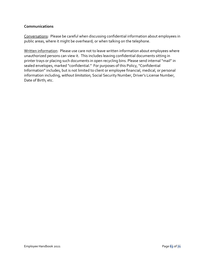#### **Communications**

Conversations: Please be careful when discussing confidential information about employees in public areas, where it might be overheard; or when talking on the telephone.

Written information: Please use care not to leave written information about employees where unauthorized persons can view it. This includes leaving confidential documents sitting in printer trays or placing such documents in open recycling bins. Please send internal "mail" in sealed envelopes, marked "confidential." For purposes of this Policy, "Confidential Information" includes, but is not limited to client or employee financial, medical, or personal information including, *without limitation*, Social Security Number, Driver's License Number, Date of Birth; etc.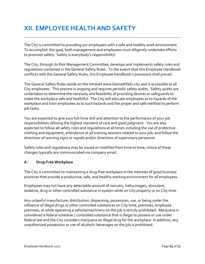# **XII. EMPLOYEE HEALTH AND SAFETY**

The City is committed to providing our employees with a safe and healthy work environment. To accomplish this goal, both management and employees must diligently undertake efforts to promote safety. Safety is everybody's responsibility!

The City, through its Risk Management Committee, develops and implements safety rules and regulations contained in the General Safety Rules. To the extent that this Employee Handbook conflicts with the General Safety Rules, this Employee Handbook's provisions shall prevail.

The General Safety Rules reside on the intranet www.klamathfalls.city and is accessible to all City employees. This process is ongoing and requires periodic safety audits. Safety audits are undertaken to determine the necessity and feasibility of providing devices or safeguards to make the workplace safe and healthful. The City will educate employees as to hazards of the workplace and train employees as to such hazards and the proper and safe method to perform job tasks.

You are expected to give your full-time skill and attention to the performance of your job responsibilities utilizing the highest standard of care and good judgment. You are also expected to follow all safety rules and regulations at all times including the use of protective clothing and equipment, attendance at all training sessions related to your job, and follow the directions of warning signs or signals and/or directions of supervisory personnel.

Safety rules and regulations may be issued or modified from time to time; notice of these changes typically are communicated via company email.

## **A. Drug-Free Workplace**

The City is committed to maintaining a drug-free workplace in the interests of good business practices that provide a productive, safe, and healthy working environment for all employees.

Employees may not have any detectable amount of narcotic, hallucinogen, stimulant, sedative, drug or other controlled substance in system while on City property or on City time.

Any unlawful manufacture, distribution, dispensing, possession, use, or being under the influence of illegal drugs or other controlled substances on City time, premises, employee premises, or while operating a vehicle/machinery on the job is strictly prohibited. Marijuana is considered a federal schedule 1 controlled substance that is illegal to possess or use under federal law and the City considers marijuana an illegal drug for the workplace. In addition, any unauthorized possession or use of alcoholic beverages on the job is prohibited.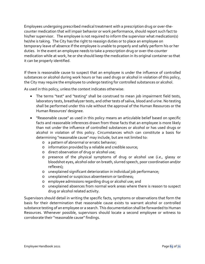Employees undergoing prescribed medical treatment with a prescription drug or over-thecounter medication that will impair behavior or work performance, should report such fact to his/her supervisor. The employee is not required to inform the supervisor what medication(s) he/she is taking. The City has the right to reassign duties or to place an employee on temporary leave of absence if the employee is unable to properly and safely perform his or her duties. In the event an employee needs to take a prescription drug or over-the-counter medication while at work, he or she should keep the medication in its original container so that it can be properly identified.

If there is reasonable cause to suspect that an employee is under the influence of controlled substances or alcohol during work hours or has used drugs or alcohol in violation of this policy, the City may require the employee to undergo testing for controlled substances or alcohol.

As used in this policy, unless the context indicates otherwise:

- The terms "test" and "testing" shall be construed to mean job impairment field tests, laboratory tests, breathalyzer tests, and other tests of saliva, blood and urine. No testing shall be performed under this rule without the approval of the Human Resources or the Human Resources' designee.
- "Reasonable cause" as used in this policy means an articulable belief based on specific facts and reasonable inferences drawn from those facts that an employee is more likely than not under the influence of controlled substances or alcohol or has used drugs or alcohol in violation of this policy. Circumstances which can constitute a basis for determining "reasonable cause" may include, but are not limited to:
	- o a pattern of abnormal or erratic behavior;
	- o information provided by a reliable and credible source;
	- o direct observation of drug or alcohol use;
	- o presence of the physical symptoms of drug or alcohol use (*i.e.,* glassy or bloodshot eyes, alcohol odor on breath, slurred speech, poor coordination and/or reflexes);
	- o unexplained significant deterioration in individual job performance;
	- o unexplained or suspicious absenteeism or tardiness;
	- o employee admissions regarding drug or alcohol use; and
	- o unexplained absences from normal work areas where there is reason to suspect drug or alcohol related activity.

Supervisors should detail in writing the specific facts, symptoms or observations that form the basis for their determination that reasonable cause exists to warrant alcohol or controlled substance testing of an employee or a search. This documentation shall be forwarded to Human Resources. Whenever possible, supervisors should locate a second employee or witness to corroborate their "reasonable cause" findings.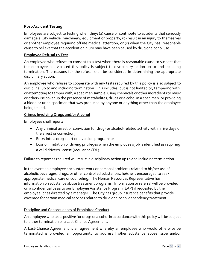### **Post-Accident Testing**

Employees are subject to testing when they: (a) cause or contribute to accidents that seriously damage a City vehicle, machinery, equipment or property; (b) result in an injury to themselves or another employee requiring offsite medical attention; or (c) when the City has reasonable cause to believe that the accident or injury may have been caused by drug or alcohol use.

### **Employee Refusal to Test**

An employee who refuses to consent to a test when there is reasonable cause to suspect that the employee has violated this policy is subject to disciplinary action up to and including termination. The reasons for the refusal shall be considered in determining the appropriate disciplinary action.

An employee who refuses to cooperate with any tests required by this policy is also subject to discipline, up to and including termination. This includes, but is not limited to, tampering with, or attempting to tamper with, a specimen sample, using chemicals or other ingredients to mask or otherwise cover up the presence of metabolites, drugs or alcohol in a specimen, or providing a blood or urine specimen that was produced by anyone or anything other than the employee being tested.

## **Crimes Involving Drugs and/or Alcohol**

Employees shall report:

- Any criminal arrest or conviction for drug- or alcohol-related activity within five days of the arrest or conviction;
- Entry into a drug court or diversion program; or
- Loss or limitation of driving privileges when the employee's job is identified as requiring a valid driver's license (regular or CDL).

Failure to report as required will result in disciplinary action up to and including termination.

In the event an employee encounters work or personal problems related to his/her use of alcoholic beverages, drugs, or other controlled substances, he/she is encouraged to seek appropriate medical care or counseling. The Human Resources Representative has information on substance abuse treatment programs. Information or referral will be provided on a confidential basis to our Employee Assistance Program (EAP) if requested by the employee, or as directed by a manager. The City has group insurance benefits that provide coverage for certain medical services related to drug or alcohol dependency treatment.

### Discipline and Consequences of Prohibited Conduct

An employee who tests positive for drugs or alcohol in accordance with this policy will be subject to either termination or a Last-Chance Agreement.

A Last-Chance Agreement is an agreement whereby an employee who would otherwise be terminated is provided an opportunity to address his/her substance abuse issue and/or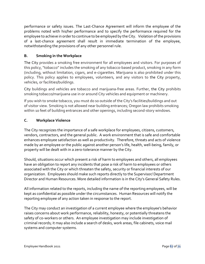performance or safety issues. The Last-Chance Agreement will inform the employee of the problems noted with his/her performance and to specify the performance required for the employee to achieve in order to continue to be employed by the City. Violation of the provisions of a last-chance agreement shall result in immediate termination of the employee, notwithstanding the provisions of any other personnel rule.

## **B. Smoking in the Workplace**

The City provides a smoking free environment for all employees and visitors. For purposes of this policy, "tobacco" includes the smoking of any tobacco-based product, smoking in any form (including, without limitation, cigars, and e-cigarettes. Marijuana is also prohibited under this policy. This policy applies to employees, volunteers, and any visitors to the City property, vehicles, or facilities/buildings.

City buildings and vehicles are tobacco and marijuana-free areas. Further, the City prohibits smoking tobacco/marijuana use in or around City vehicles and equipment or machinery.

If you wish to smoke tobacco, you must do so outside of the City's facilities/buildings and out of visitor view. Smoking is not allowed near building entrances; Oregon law prohibits smoking within 10 feet of building entrances and other openings, including second-story windows.

## **C. Workplace Violence**

The City recognizes the importance of a safe workplace for employees, citizens, customers, vendors, contractors, and the general public. A work environment that is safe and comfortable enhances employee satisfaction as well as productivity. Therefore, threats and acts of violence made by an employee or the public against another person's life, health, well-being, family, or property will be dealt with in a zero-tolerance manner by the City.

Should, situations occur which present a risk of harm to employees and others, all employees have an obligation to report any incidents that pose a risk of harm to employees or others associated with the City or which threaten the safety, security or financial interests of our organization. Employees should make such reports directly to the Supervisor/ Department Director and Human Resources. More detailed information is in the City's General Safety Rules.

All information related to the reports, including the name of the reporting employees, will be kept as confidential as possible under the circumstances. Human Resources will notify the reporting employee of any action taken in response to the report.

The City may conduct an investigation of a current employee where the employee's behavior raises concerns about work performance, reliability, honesty, or potentially threatens the safety of co-workers or others. An employee investigation may include investigation of criminal records; it may also include a search of desks, work areas, file cabinets, voice mail systems and computer systems.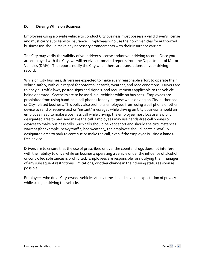### **D. Driving While on Business**

Employees using a private vehicle to conduct City business must possess a valid driver's license and must carry auto liability insurance. Employees who use their own vehicles for authorized business use should make any necessary arrangements with their insurance carriers.

The City may verify the validity of your driver's license and/or your driving record. Once you are employed with the City, we will receive automated reports from the Department of Motor Vehicles (DMV). The reports notify the City when there are transactions on your driving record.

While on City business, drivers are expected to make every reasonable effort to operate their vehicle safely, with due regard for potential hazards, weather, and road conditions. Drivers are to obey all traffic laws, posted signs and signals, and requirements applicable to the vehicle being operated. Seatbelts are to be used in all vehicles while on business. Employees are prohibited from using hand-held cell phones for any purpose while driving on City-authorized or City-related business. This policy also prohibits employees from using a cell phone or other device to send or receive text or "instant" messages while driving on City business. Should an employee need to make a business call while driving, the employee must locate a lawfully designated area to park and make the call. Employees may use hands-free cell phones or devices to make business calls. Such calls should be kept short and should the circumstances warrant (for example, heavy traffic, bad weather), the employee should locate a lawfully designated area to park to continue or make the call, even if the employee is using a handsfree device.

Drivers are to ensure that the use of prescribed or over the counter drugs does not interfere with their ability to drive while on business; operating a vehicle under the influence of alcohol or controlled substances is prohibited. Employees are responsible for notifying their manager of any subsequent restrictions, limitations, or other change in their driving status as soon as possible.

Employees who drive City-owned vehicles at any time should have no expectation of privacy while using or driving the vehicle.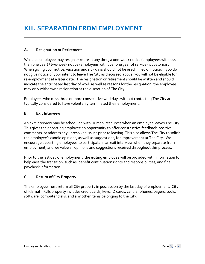### **A. Resignation or Retirement**

While an employee may resign or retire at any time, a one-week notice (employees with less than one year) / two-week notice (employees with over one year of service) is customary. When giving your notice, vacation and sick days should not be used in lieu of notice. If you do not give notice of your intent to leave The City as discussed above, you will not be eligible for re-employment at a later date. The resignation or retirement should be written and should indicate the anticipated last day of work as well as reasons for the resignation; the employee may only withdraw a resignation at the discretion of The City.

Employees who miss three or more consecutive workdays without contacting The City are typically considered to have voluntarily terminated their employment.

## **B. Exit Interview**

An exit interview may be scheduled with Human Resources when an employee leaves The City. This gives the departing employee an opportunity to offer constructive feedback, positive comments, or address any unresolved issues prior to leaving. This also allows The City to solicit the employee's candid opinions, as well as suggestions, for improvement at The City. We encourage departing employees to participate in an exit interview when they separate from employment, and we value all opinions and suggestions received throughout this process.

Prior to the last day of employment, the exiting employee will be provided with information to help ease the transition, such as, benefit continuation rights and responsibilities, and final paycheck information.

## **C. Return of City Property**

The employee must return all City property in possession by the last day of employment. City of Klamath Falls property includes credit cards, keys, ID cards, cellular phones, pagers, tools, software, computer disks, and any other items belonging to the City.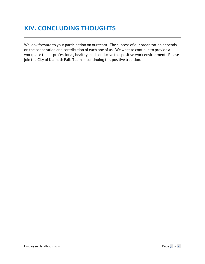# **XIV. CONCLUDING THOUGHTS**

We look forward to your participation on our team. The success of our organization depends on the cooperation and contribution of each one of us. We want to continue to provide a workplace that is professional, healthy, and conducive to a positive work environment. Please join the City of Klamath Falls Team in continuing this positive tradition.